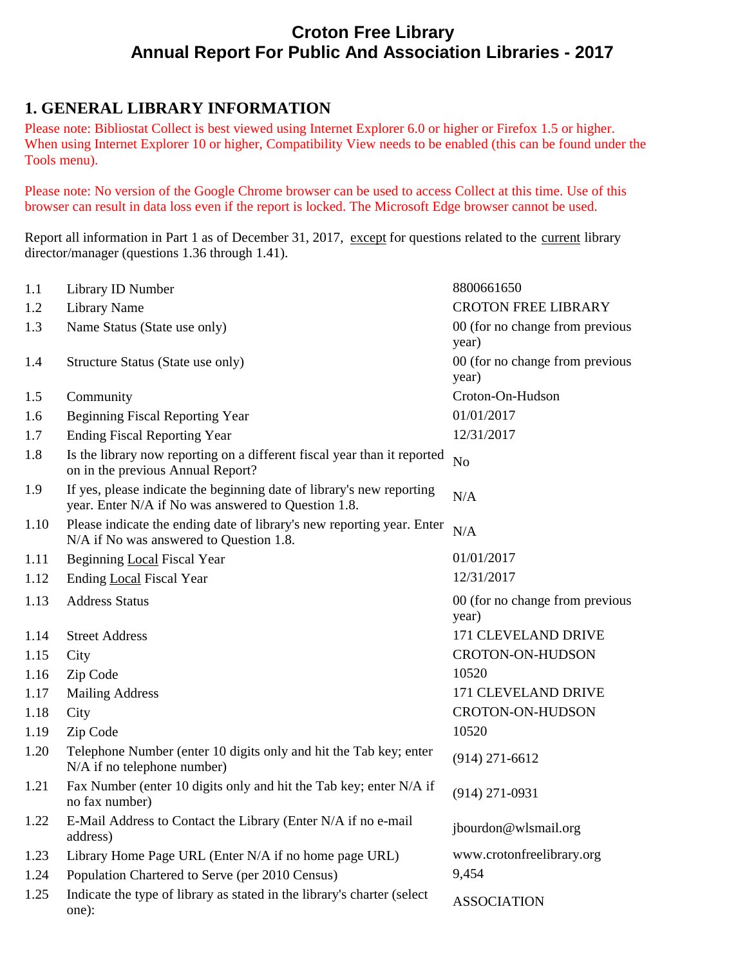# **Croton Free Library Annual Report For Public And Association Libraries - 2017**

# **1. GENERAL LIBRARY INFORMATION**

Please note: Bibliostat Collect is best viewed using Internet Explorer 6.0 or higher or Firefox 1.5 or higher. When using Internet Explorer 10 or higher, Compatibility View needs to be enabled (this can be found under the Tools menu).

Please note: No version of the Google Chrome browser can be used to access Collect at this time. Use of this browser can result in data loss even if the report is locked. The Microsoft Edge browser cannot be used.

Report all information in Part 1 as of December 31, 2017, except for questions related to the current library director/manager (questions 1.36 through 1.41).

| 1.1  | Library ID Number                                                                                                            | 8800661650                               |
|------|------------------------------------------------------------------------------------------------------------------------------|------------------------------------------|
| 1.2  | <b>Library Name</b>                                                                                                          | <b>CROTON FREE LIBRARY</b>               |
| 1.3  | Name Status (State use only)                                                                                                 | 00 (for no change from previous          |
|      |                                                                                                                              | year)                                    |
| 1.4  | Structure Status (State use only)                                                                                            | 00 (for no change from previous<br>year) |
| 1.5  | Community                                                                                                                    | Croton-On-Hudson                         |
| 1.6  | <b>Beginning Fiscal Reporting Year</b>                                                                                       | 01/01/2017                               |
| 1.7  | <b>Ending Fiscal Reporting Year</b>                                                                                          | 12/31/2017                               |
| 1.8  | Is the library now reporting on a different fiscal year than it reported<br>on in the previous Annual Report?                | N <sub>o</sub>                           |
| 1.9  | If yes, please indicate the beginning date of library's new reporting<br>year. Enter N/A if No was answered to Question 1.8. | N/A                                      |
| 1.10 | Please indicate the ending date of library's new reporting year. Enter<br>N/A if No was answered to Question 1.8.            | N/A                                      |
| 1.11 | Beginning Local Fiscal Year                                                                                                  | 01/01/2017                               |
| 1.12 | Ending Local Fiscal Year                                                                                                     | 12/31/2017                               |
| 1.13 | <b>Address Status</b>                                                                                                        | 00 (for no change from previous<br>year) |
| 1.14 | <b>Street Address</b>                                                                                                        | 171 CLEVELAND DRIVE                      |
| 1.15 | City                                                                                                                         | <b>CROTON-ON-HUDSON</b>                  |
| 1.16 | Zip Code                                                                                                                     | 10520                                    |
| 1.17 | <b>Mailing Address</b>                                                                                                       | 171 CLEVELAND DRIVE                      |
| 1.18 | City                                                                                                                         | <b>CROTON-ON-HUDSON</b>                  |
| 1.19 | Zip Code                                                                                                                     | 10520                                    |
| 1.20 | Telephone Number (enter 10 digits only and hit the Tab key; enter<br>N/A if no telephone number)                             | $(914)$ 271-6612                         |
| 1.21 | Fax Number (enter 10 digits only and hit the Tab key; enter N/A if<br>no fax number)                                         | $(914)$ 271-0931                         |
| 1.22 | E-Mail Address to Contact the Library (Enter N/A if no e-mail<br>address)                                                    | jbourdon@wlsmail.org                     |
| 1.23 | Library Home Page URL (Enter N/A if no home page URL)                                                                        | www.crotonfreelibrary.org                |
| 1.24 | Population Chartered to Serve (per 2010 Census)                                                                              | 9,454                                    |
| 1.25 | Indicate the type of library as stated in the library's charter (select<br>one):                                             | <b>ASSOCIATION</b>                       |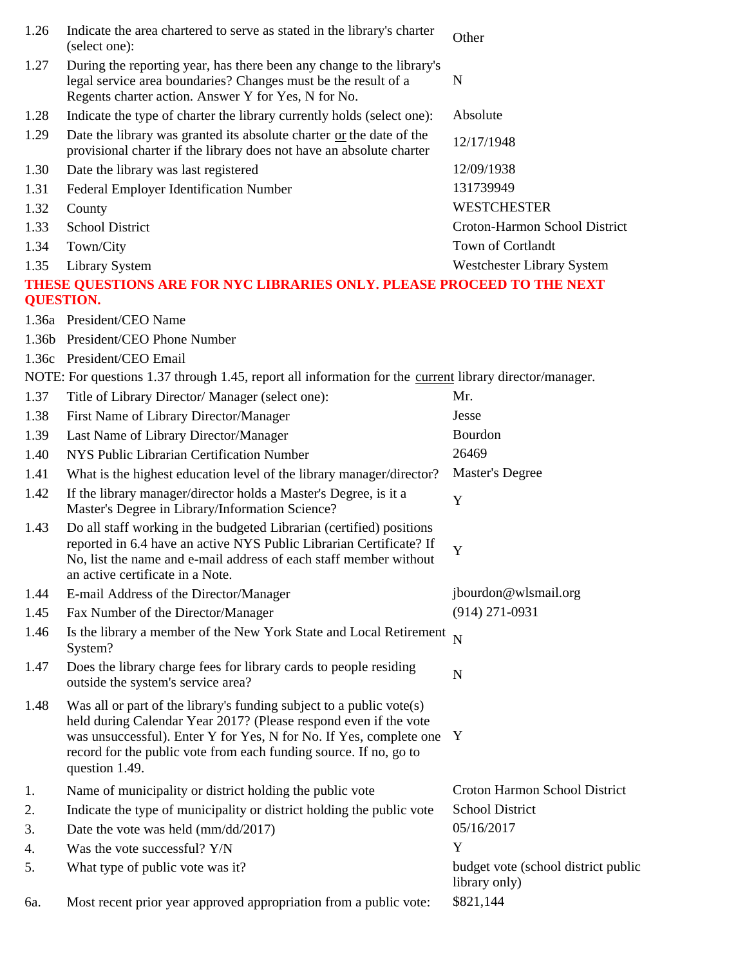| 1.26 | Indicate the area chartered to serve as stated in the library's charter<br>(select one):                                                                                                                                                                                                              | Other                                                |
|------|-------------------------------------------------------------------------------------------------------------------------------------------------------------------------------------------------------------------------------------------------------------------------------------------------------|------------------------------------------------------|
| 1.27 | During the reporting year, has there been any change to the library's<br>legal service area boundaries? Changes must be the result of a<br>Regents charter action. Answer Y for Yes, N for No.                                                                                                        | N                                                    |
| 1.28 | Indicate the type of charter the library currently holds (select one):                                                                                                                                                                                                                                | Absolute                                             |
| 1.29 | Date the library was granted its absolute charter or the date of the<br>provisional charter if the library does not have an absolute charter                                                                                                                                                          | 12/17/1948                                           |
| 1.30 | Date the library was last registered                                                                                                                                                                                                                                                                  | 12/09/1938                                           |
| 1.31 | Federal Employer Identification Number                                                                                                                                                                                                                                                                | 131739949                                            |
| 1.32 | County                                                                                                                                                                                                                                                                                                | <b>WESTCHESTER</b>                                   |
| 1.33 | <b>School District</b>                                                                                                                                                                                                                                                                                | Croton-Harmon School District                        |
| 1.34 | Town/City                                                                                                                                                                                                                                                                                             | Town of Cortlandt                                    |
| 1.35 | <b>Library System</b>                                                                                                                                                                                                                                                                                 | Westchester Library System                           |
|      | THESE QUESTIONS ARE FOR NYC LIBRARIES ONLY. PLEASE PROCEED TO THE NEXT<br><b>QUESTION.</b>                                                                                                                                                                                                            |                                                      |
|      | 1.36a President/CEO Name                                                                                                                                                                                                                                                                              |                                                      |
|      | 1.36b President/CEO Phone Number                                                                                                                                                                                                                                                                      |                                                      |
|      | 1.36c President/CEO Email                                                                                                                                                                                                                                                                             |                                                      |
|      | NOTE: For questions 1.37 through 1.45, report all information for the <u>current</u> library director/manager.                                                                                                                                                                                        |                                                      |
| 1.37 | Title of Library Director/ Manager (select one):                                                                                                                                                                                                                                                      | Mr.                                                  |
| 1.38 | First Name of Library Director/Manager                                                                                                                                                                                                                                                                | Jesse                                                |
| 1.39 | Last Name of Library Director/Manager                                                                                                                                                                                                                                                                 | Bourdon                                              |
| 1.40 | NYS Public Librarian Certification Number                                                                                                                                                                                                                                                             | 26469                                                |
| 1.41 | What is the highest education level of the library manager/director?                                                                                                                                                                                                                                  | Master's Degree                                      |
| 1.42 | If the library manager/director holds a Master's Degree, is it a<br>Master's Degree in Library/Information Science?                                                                                                                                                                                   | Y                                                    |
| 1.43 | Do all staff working in the budgeted Librarian (certified) positions<br>reported in 6.4 have an active NYS Public Librarian Certificate? If<br>No, list the name and e-mail address of each staff member without<br>an active certificate in a Note.                                                  | Y                                                    |
| 1.44 | E-mail Address of the Director/Manager                                                                                                                                                                                                                                                                | jbourdon@wlsmail.org                                 |
| 1.45 | Fax Number of the Director/Manager                                                                                                                                                                                                                                                                    | $(914)$ 271-0931                                     |
| 1.46 | Is the library a member of the New York State and Local Retirement N<br>System?                                                                                                                                                                                                                       |                                                      |
| 1.47 | Does the library charge fees for library cards to people residing<br>outside the system's service area?                                                                                                                                                                                               | N                                                    |
| 1.48 | Was all or part of the library's funding subject to a public vote(s)<br>held during Calendar Year 2017? (Please respond even if the vote<br>was unsuccessful). Enter Y for Yes, N for No. If Yes, complete one<br>record for the public vote from each funding source. If no, go to<br>question 1.49. | Y                                                    |
| 1.   | Name of municipality or district holding the public vote                                                                                                                                                                                                                                              | Croton Harmon School District                        |
| 2.   | Indicate the type of municipality or district holding the public vote                                                                                                                                                                                                                                 | <b>School District</b>                               |
| 3.   | Date the vote was held (mm/dd/2017)                                                                                                                                                                                                                                                                   | 05/16/2017                                           |
| 4.   | Was the vote successful? Y/N                                                                                                                                                                                                                                                                          | Y                                                    |
| 5.   | What type of public vote was it?                                                                                                                                                                                                                                                                      | budget vote (school district public<br>library only) |
| 6a.  | Most recent prior year approved appropriation from a public vote:                                                                                                                                                                                                                                     | \$821,144                                            |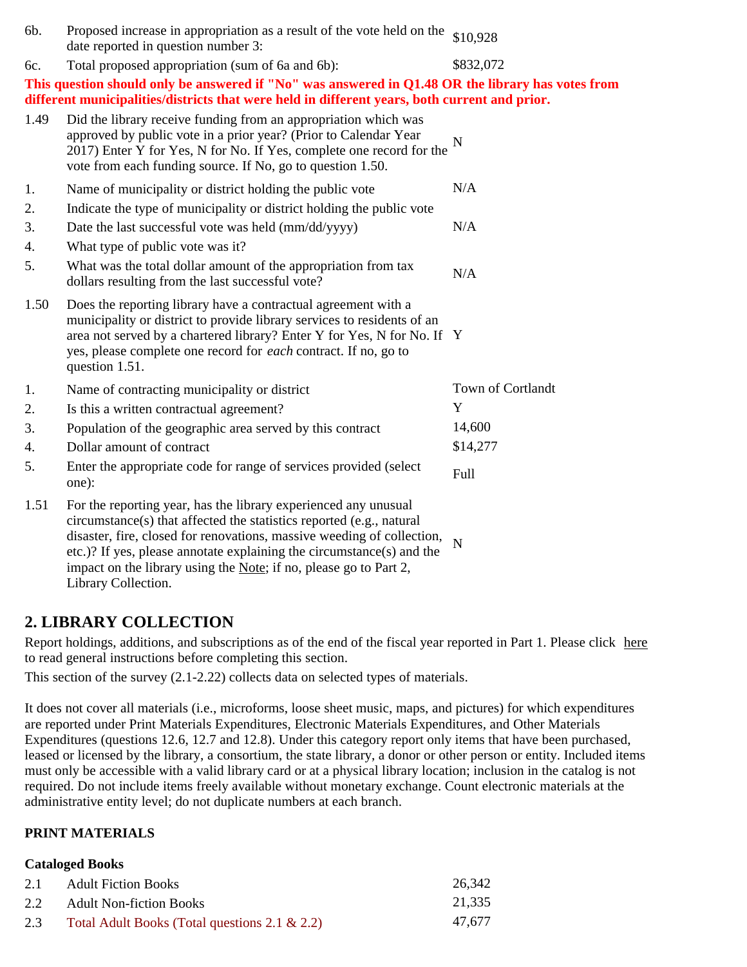| 6b.  | Proposed increase in appropriation as a result of the vote held on the<br>date reported in question number 3:                                                                                                                                                                                                                                                                          | \$10,928          |
|------|----------------------------------------------------------------------------------------------------------------------------------------------------------------------------------------------------------------------------------------------------------------------------------------------------------------------------------------------------------------------------------------|-------------------|
| 6c.  | Total proposed appropriation (sum of 6a and 6b):                                                                                                                                                                                                                                                                                                                                       | \$832,072         |
|      | This question should only be answered if "No" was answered in Q1.48 OR the library has votes from<br>different municipalities/districts that were held in different years, both current and prior.                                                                                                                                                                                     |                   |
| 1.49 | Did the library receive funding from an appropriation which was<br>approved by public vote in a prior year? (Prior to Calendar Year<br>2017) Enter Y for Yes, N for No. If Yes, complete one record for the<br>vote from each funding source. If No, go to question 1.50.                                                                                                              | N                 |
| 1.   | Name of municipality or district holding the public vote                                                                                                                                                                                                                                                                                                                               | N/A               |
| 2.   | Indicate the type of municipality or district holding the public vote                                                                                                                                                                                                                                                                                                                  |                   |
| 3.   | Date the last successful vote was held (mm/dd/yyyy)                                                                                                                                                                                                                                                                                                                                    | N/A               |
| 4.   | What type of public vote was it?                                                                                                                                                                                                                                                                                                                                                       |                   |
| 5.   | What was the total dollar amount of the appropriation from tax<br>dollars resulting from the last successful vote?                                                                                                                                                                                                                                                                     | N/A               |
| 1.50 | Does the reporting library have a contractual agreement with a<br>municipality or district to provide library services to residents of an<br>area not served by a chartered library? Enter Y for Yes, N for No. If Y<br>yes, please complete one record for <i>each</i> contract. If no, go to<br>question 1.51.                                                                       |                   |
| 1.   | Name of contracting municipality or district                                                                                                                                                                                                                                                                                                                                           | Town of Cortlandt |
| 2.   | Is this a written contractual agreement?                                                                                                                                                                                                                                                                                                                                               | Y                 |
| 3.   | Population of the geographic area served by this contract                                                                                                                                                                                                                                                                                                                              | 14,600            |
| 4.   | Dollar amount of contract                                                                                                                                                                                                                                                                                                                                                              | \$14,277          |
| 5.   | Enter the appropriate code for range of services provided (select<br>one):                                                                                                                                                                                                                                                                                                             | Full              |
| 1.51 | For the reporting year, has the library experienced any unusual<br>circumstance(s) that affected the statistics reported (e.g., natural<br>disaster, fire, closed for renovations, massive weeding of collection,<br>etc.)? If yes, please annotate explaining the circumstance(s) and the<br>impact on the library using the Note; if no, please go to Part 2,<br>Library Collection. | $\overline{N}$    |

## **2. LIBRARY COLLECTION**

Report holdings, additions, and subscriptions as of the end of the fiscal year reported in Part 1. Please click here to read general instructions before completing this section.

This section of the survey (2.1-2.22) collects data on selected types of materials.

It does not cover all materials (i.e., microforms, loose sheet music, maps, and pictures) for which expenditures are reported under Print Materials Expenditures, Electronic Materials Expenditures, and Other Materials Expenditures (questions 12.6, 12.7 and 12.8). Under this category report only items that have been purchased, leased or licensed by the library, a consortium, the state library, a donor or other person or entity. Included items must only be accessible with a valid library card or at a physical library location; inclusion in the catalog is not required. Do not include items freely available without monetary exchange. Count electronic materials at the administrative entity level; do not duplicate numbers at each branch.

### **PRINT MATERIALS**

#### **Cataloged Books**

| 2.1 | <b>Adult Fiction Books</b>                       | 26,342 |
|-----|--------------------------------------------------|--------|
| 2.2 | <b>Adult Non-fiction Books</b>                   | 21.335 |
| 2.3 | Total Adult Books (Total questions 2.1 $\&$ 2.2) | 47.677 |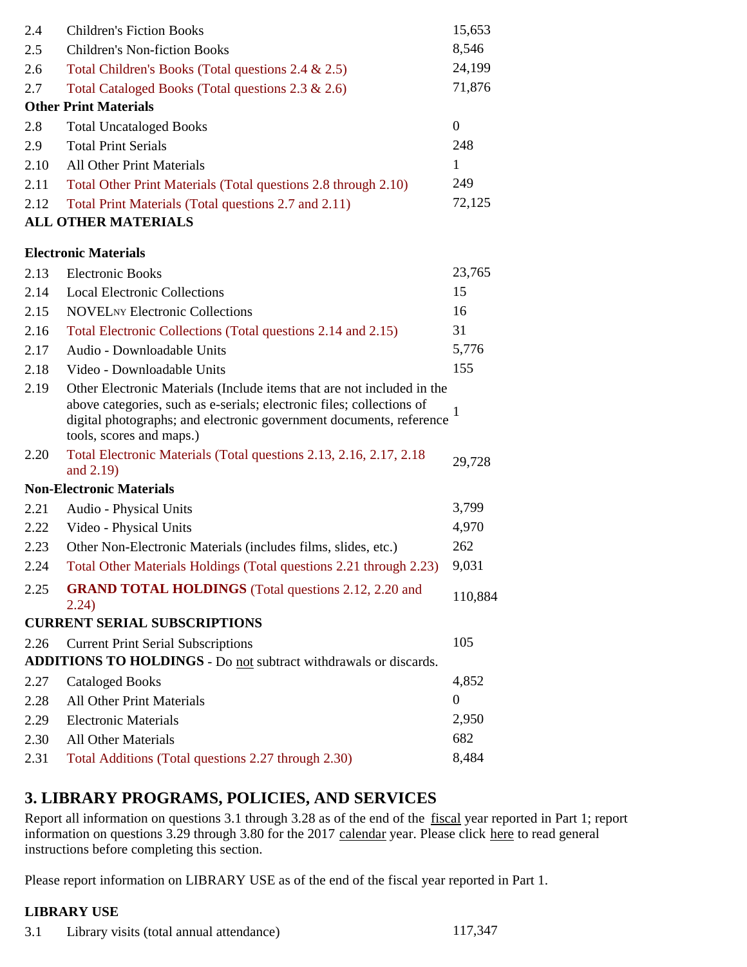| 8,546<br>2.5<br><b>Children's Non-fiction Books</b><br>24,199<br>Total Children's Books (Total questions 2.4 & 2.5)<br>2.6<br>71,876<br>2.7<br>Total Cataloged Books (Total questions 2.3 & 2.6)<br><b>Other Print Materials</b><br>$\mathbf{0}$<br>2.8<br><b>Total Uncataloged Books</b><br>248<br>2.9<br><b>Total Print Serials</b><br><b>All Other Print Materials</b><br>1<br>2.10<br>249<br>2.11<br>Total Other Print Materials (Total questions 2.8 through 2.10)<br>72,125<br>2.12<br>Total Print Materials (Total questions 2.7 and 2.11)<br><b>ALL OTHER MATERIALS</b> |  |
|---------------------------------------------------------------------------------------------------------------------------------------------------------------------------------------------------------------------------------------------------------------------------------------------------------------------------------------------------------------------------------------------------------------------------------------------------------------------------------------------------------------------------------------------------------------------------------|--|
|                                                                                                                                                                                                                                                                                                                                                                                                                                                                                                                                                                                 |  |
|                                                                                                                                                                                                                                                                                                                                                                                                                                                                                                                                                                                 |  |
|                                                                                                                                                                                                                                                                                                                                                                                                                                                                                                                                                                                 |  |
|                                                                                                                                                                                                                                                                                                                                                                                                                                                                                                                                                                                 |  |
|                                                                                                                                                                                                                                                                                                                                                                                                                                                                                                                                                                                 |  |
|                                                                                                                                                                                                                                                                                                                                                                                                                                                                                                                                                                                 |  |
|                                                                                                                                                                                                                                                                                                                                                                                                                                                                                                                                                                                 |  |
|                                                                                                                                                                                                                                                                                                                                                                                                                                                                                                                                                                                 |  |
|                                                                                                                                                                                                                                                                                                                                                                                                                                                                                                                                                                                 |  |
|                                                                                                                                                                                                                                                                                                                                                                                                                                                                                                                                                                                 |  |
| <b>Electronic Materials</b>                                                                                                                                                                                                                                                                                                                                                                                                                                                                                                                                                     |  |
| <b>Electronic Books</b><br>23,765<br>2.13                                                                                                                                                                                                                                                                                                                                                                                                                                                                                                                                       |  |
| 15<br>2.14<br><b>Local Electronic Collections</b>                                                                                                                                                                                                                                                                                                                                                                                                                                                                                                                               |  |
| <b>NOVEL</b> NY Electronic Collections<br>16<br>2.15                                                                                                                                                                                                                                                                                                                                                                                                                                                                                                                            |  |
| 31<br>2.16<br>Total Electronic Collections (Total questions 2.14 and 2.15)                                                                                                                                                                                                                                                                                                                                                                                                                                                                                                      |  |
| 5,776<br>2.17<br>Audio - Downloadable Units                                                                                                                                                                                                                                                                                                                                                                                                                                                                                                                                     |  |
| 155<br>2.18<br>Video - Downloadable Units                                                                                                                                                                                                                                                                                                                                                                                                                                                                                                                                       |  |
| 2.19<br>Other Electronic Materials (Include items that are not included in the<br>above categories, such as e-serials; electronic files; collections of<br>1<br>digital photographs; and electronic government documents, reference<br>tools, scores and maps.)                                                                                                                                                                                                                                                                                                                 |  |
| Total Electronic Materials (Total questions 2.13, 2.16, 2.17, 2.18)<br>2.20<br>29,728<br>and 2.19)                                                                                                                                                                                                                                                                                                                                                                                                                                                                              |  |
| <b>Non-Electronic Materials</b>                                                                                                                                                                                                                                                                                                                                                                                                                                                                                                                                                 |  |
| 3,799<br>2.21<br>Audio - Physical Units                                                                                                                                                                                                                                                                                                                                                                                                                                                                                                                                         |  |
| 4,970<br>2.22<br>Video - Physical Units                                                                                                                                                                                                                                                                                                                                                                                                                                                                                                                                         |  |
| 262<br>2.23<br>Other Non-Electronic Materials (includes films, slides, etc.)                                                                                                                                                                                                                                                                                                                                                                                                                                                                                                    |  |
| 9,031<br>Total Other Materials Holdings (Total questions 2.21 through 2.23)<br>2.24                                                                                                                                                                                                                                                                                                                                                                                                                                                                                             |  |
| 2.25<br><b>GRAND TOTAL HOLDINGS</b> (Total questions 2.12, 2.20 and<br>110,884<br>2.24)                                                                                                                                                                                                                                                                                                                                                                                                                                                                                         |  |
| <b>CURRENT SERIAL SUBSCRIPTIONS</b>                                                                                                                                                                                                                                                                                                                                                                                                                                                                                                                                             |  |
| 105<br>2.26<br><b>Current Print Serial Subscriptions</b>                                                                                                                                                                                                                                                                                                                                                                                                                                                                                                                        |  |
| ADDITIONS TO HOLDINGS - Do not subtract withdrawals or discards.                                                                                                                                                                                                                                                                                                                                                                                                                                                                                                                |  |
| 4,852<br>2.27<br><b>Cataloged Books</b>                                                                                                                                                                                                                                                                                                                                                                                                                                                                                                                                         |  |
| <b>All Other Print Materials</b><br>$\boldsymbol{0}$<br>2.28                                                                                                                                                                                                                                                                                                                                                                                                                                                                                                                    |  |
| 2,950<br><b>Electronic Materials</b><br>2.29                                                                                                                                                                                                                                                                                                                                                                                                                                                                                                                                    |  |
| 682<br>2.30<br><b>All Other Materials</b>                                                                                                                                                                                                                                                                                                                                                                                                                                                                                                                                       |  |
| 8,484<br>2.31<br>Total Additions (Total questions 2.27 through 2.30)                                                                                                                                                                                                                                                                                                                                                                                                                                                                                                            |  |

## **3. LIBRARY PROGRAMS, POLICIES, AND SERVICES**

Report all information on questions 3.1 through 3.28 as of the end of the fiscal year reported in Part 1; report information on questions 3.29 through 3.80 for the 2017 calendar year. Please click here to read general instructions before completing this section.

Please report information on LIBRARY USE as of the end of the fiscal year reported in Part 1.

### **LIBRARY USE**

3.1 Library visits (total annual attendance) 117,347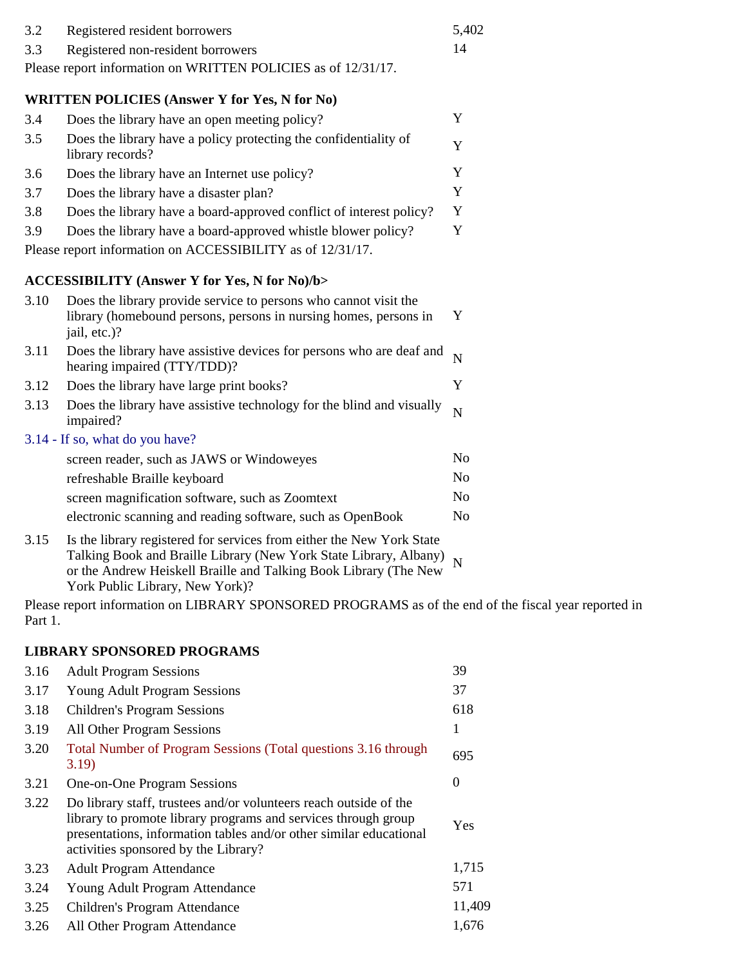| 3.2                                                           | Registered resident borrowers     | 5.402 |
|---------------------------------------------------------------|-----------------------------------|-------|
| 3.3                                                           | Registered non-resident borrowers |       |
| Please report information on WRITTEN POLICIES as of 12/31/17. |                                   |       |

### **WRITTEN POLICIES (Answer Y for Yes, N for No)**

| 3.4 | Does the library have an open meeting policy?                                        |   |
|-----|--------------------------------------------------------------------------------------|---|
| 3.5 | Does the library have a policy protecting the confidentiality of<br>library records? | v |
| 3.6 | Does the library have an Internet use policy?                                        | v |
| 3.7 | Does the library have a disaster plan?                                               | Y |
| 3.8 | Does the library have a board-approved conflict of interest policy?                  | Y |
| 3.9 | Does the library have a board-approved whistle blower policy?                        | Y |
|     | Please report information on ACCESSIBILITY as of 12/31/17.                           |   |

### **ACCESSIBILITY (Answer Y for Yes, N for No)/b>**

| 3.10 | Does the library provide service to persons who cannot visit the<br>library (homebound persons, persons in nursing homes, persons in<br>jail, etc.)? | Y              |
|------|------------------------------------------------------------------------------------------------------------------------------------------------------|----------------|
| 3.11 | Does the library have assistive devices for persons who are deaf and $N$<br>hearing impaired (TTY/TDD)?                                              |                |
| 3.12 | Does the library have large print books?                                                                                                             | Y              |
| 3.13 | Does the library have assistive technology for the blind and visually<br>impaired?                                                                   | N              |
|      | 3.14 - If so, what do you have?                                                                                                                      |                |
|      | screen reader, such as JAWS or Windoweyes                                                                                                            | N <sub>o</sub> |
|      | refreshable Braille keyboard                                                                                                                         | N <sub>0</sub> |
|      | screen magnification software, such as Zoomtext                                                                                                      | N <sub>0</sub> |
|      | electronic scanning and reading software, such as OpenBook                                                                                           | N <sub>0</sub> |
| 3.15 | Is the library registered for services from either the New York State                                                                                |                |

Talking Book and Braille Library (New York State Library, Albany) N or the Andrew Heiskell Braille and Talking Book Library (The New York Public Library, New York)?

Please report information on LIBRARY SPONSORED PROGRAMS as of the end of the fiscal year reported in Part 1.

### **LIBRARY SPONSORED PROGRAMS**

| 3.16 | <b>Adult Program Sessions</b>                                                                                                                                                                                                                     | 39               |
|------|---------------------------------------------------------------------------------------------------------------------------------------------------------------------------------------------------------------------------------------------------|------------------|
| 3.17 | <b>Young Adult Program Sessions</b>                                                                                                                                                                                                               | 37               |
| 3.18 | <b>Children's Program Sessions</b>                                                                                                                                                                                                                | 618              |
| 3.19 | All Other Program Sessions                                                                                                                                                                                                                        | 1                |
| 3.20 | Total Number of Program Sessions (Total questions 3.16 through<br>3.19)                                                                                                                                                                           | 695              |
| 3.21 | One-on-One Program Sessions                                                                                                                                                                                                                       | $\boldsymbol{0}$ |
| 3.22 | Do library staff, trustees and/or volunteers reach outside of the<br>library to promote library programs and services through group<br>presentations, information tables and/or other similar educational<br>activities sponsored by the Library? | Yes              |
| 3.23 | <b>Adult Program Attendance</b>                                                                                                                                                                                                                   | 1,715            |
| 3.24 | Young Adult Program Attendance                                                                                                                                                                                                                    | 571              |
| 3.25 | Children's Program Attendance                                                                                                                                                                                                                     | 11,409           |
| 3.26 | All Other Program Attendance                                                                                                                                                                                                                      | 1,676            |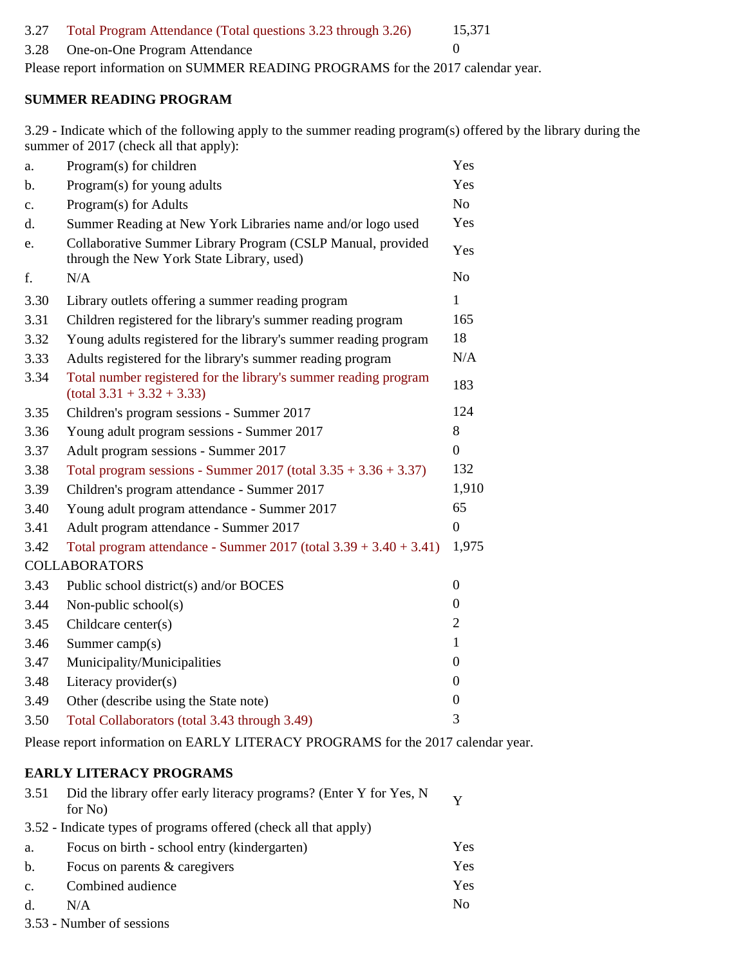#### 3.27 Total Program Attendance (Total questions 3.23 through 3.26) 15,371

### 3.28 One-on-One Program Attendance 0

Please report information on SUMMER READING PROGRAMS for the 2017 calendar year.

#### **SUMMER READING PROGRAM**

3.29 - Indicate which of the following apply to the summer reading program(s) offered by the library during the summer of 2017 (check all that apply):

| a.   | Program(s) for children                                                                                  | Yes              |
|------|----------------------------------------------------------------------------------------------------------|------------------|
| b.   | Program(s) for young adults                                                                              | Yes              |
| c.   | Program(s) for Adults                                                                                    | N <sub>o</sub>   |
| d.   | Summer Reading at New York Libraries name and/or logo used                                               | Yes              |
| e.   | Collaborative Summer Library Program (CSLP Manual, provided<br>through the New York State Library, used) | Yes              |
| f.   | N/A                                                                                                      | N <sub>o</sub>   |
| 3.30 | Library outlets offering a summer reading program                                                        | $\mathbf{1}$     |
| 3.31 | Children registered for the library's summer reading program                                             | 165              |
| 3.32 | Young adults registered for the library's summer reading program                                         | 18               |
| 3.33 | Adults registered for the library's summer reading program                                               | N/A              |
| 3.34 | Total number registered for the library's summer reading program<br>$(total 3.31 + 3.32 + 3.33)$         | 183              |
| 3.35 | Children's program sessions - Summer 2017                                                                | 124              |
| 3.36 | Young adult program sessions - Summer 2017                                                               | 8                |
| 3.37 | Adult program sessions - Summer 2017                                                                     | $\overline{0}$   |
| 3.38 | Total program sessions - Summer 2017 (total $3.35 + 3.36 + 3.37$ )                                       | 132              |
| 3.39 | Children's program attendance - Summer 2017                                                              | 1,910            |
| 3.40 | Young adult program attendance - Summer 2017                                                             | 65               |
| 3.41 | Adult program attendance - Summer 2017                                                                   | $\boldsymbol{0}$ |
| 3.42 | Total program attendance - Summer $2017$ (total $3.39 + 3.40 + 3.41$ )                                   | 1,975            |
|      | <b>COLLABORATORS</b>                                                                                     |                  |
| 3.43 | Public school district(s) and/or BOCES                                                                   | $\overline{0}$   |
| 3.44 | Non-public school(s)                                                                                     | $\theta$         |
| 3.45 | Childcare center(s)                                                                                      | $\overline{2}$   |
| 3.46 | Summer camp(s)                                                                                           | 1                |
| 3.47 | Municipality/Municipalities                                                                              | $\overline{0}$   |
| 3.48 | Literacy provider(s)                                                                                     | $\boldsymbol{0}$ |
| 3.49 | Other (describe using the State note)                                                                    | $\boldsymbol{0}$ |
| 3.50 | Total Collaborators (total 3.43 through 3.49)                                                            | 3                |

Please report information on EARLY LITERACY PROGRAMS for the 2017 calendar year.

### **EARLY LITERACY PROGRAMS**

| 3.51          | Did the library offer early literacy programs? (Enter Y for Yes, N<br>for No. | $\overline{\mathbf{v}}$ |
|---------------|-------------------------------------------------------------------------------|-------------------------|
|               | 3.52 - Indicate types of programs offered (check all that apply)              |                         |
| a.            | Focus on birth - school entry (kindergarten)                                  | Yes                     |
| b.            | Focus on parents & caregivers                                                 | Yes                     |
| $C_{\bullet}$ | Combined audience                                                             | Yes                     |
| d.            | N/A                                                                           | No                      |
|               | $250 \text{ N}$                                                               |                         |

3.53 - Number of sessions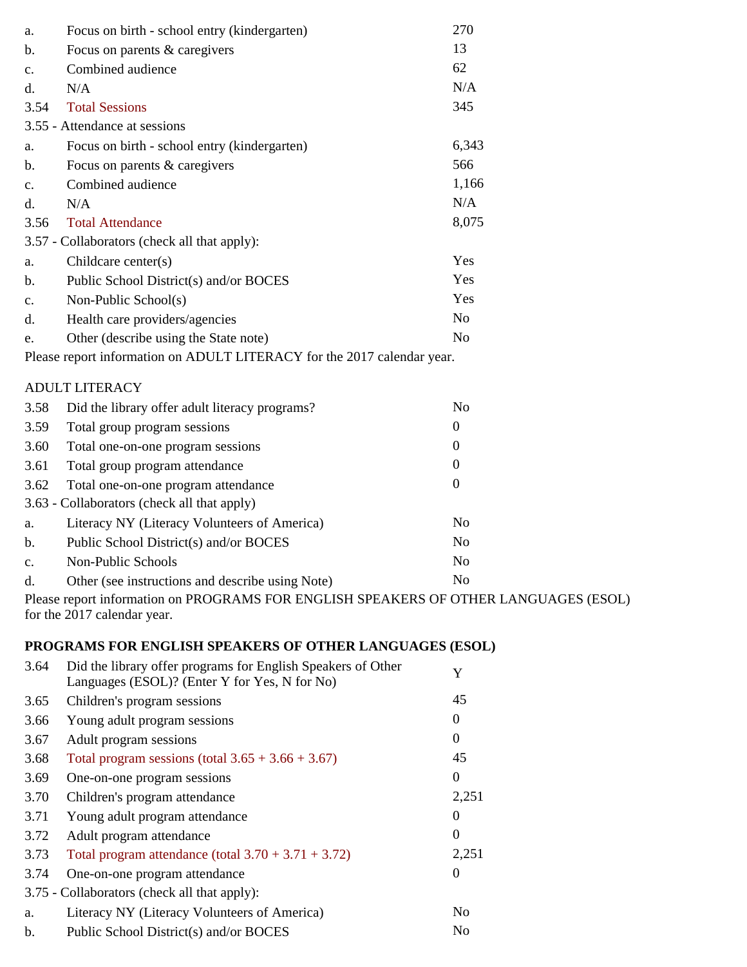| a.                                                                      | Focus on birth - school entry (kindergarten)     | 270              |
|-------------------------------------------------------------------------|--------------------------------------------------|------------------|
| b.                                                                      | Focus on parents & caregivers                    | 13               |
| c.                                                                      | Combined audience                                | 62               |
| $d_{\cdot}$                                                             | N/A                                              | N/A              |
| 3.54                                                                    | <b>Total Sessions</b>                            | 345              |
|                                                                         | 3.55 - Attendance at sessions                    |                  |
| a.                                                                      | Focus on birth - school entry (kindergarten)     | 6,343            |
| b.                                                                      | Focus on parents & caregivers                    | 566              |
| $C_{\bullet}$                                                           | Combined audience                                | 1,166            |
| $d_{\cdot}$                                                             | N/A                                              | N/A              |
| 3.56                                                                    | <b>Total Attendance</b>                          | 8,075            |
|                                                                         | 3.57 - Collaborators (check all that apply):     |                  |
| a.                                                                      | Childcare center $(s)$                           | Yes              |
| b.                                                                      | Public School District(s) and/or BOCES           | Yes              |
| $\mathbf{c}$ .                                                          | Non-Public School(s)                             | Yes              |
| d.                                                                      | Health care providers/agencies                   | N <sub>o</sub>   |
| e.                                                                      | Other (describe using the State note)            | N <sub>o</sub>   |
| Please report information on ADULT LITERACY for the 2017 calendar year. |                                                  |                  |
|                                                                         | <b>ADULT LITERACY</b>                            |                  |
| 3.58                                                                    | Did the library offer adult literacy programs?   | N <sub>o</sub>   |
| 3.59                                                                    | Total group program sessions                     | $\boldsymbol{0}$ |
| 3.60                                                                    | Total one-on-one program sessions                | $\theta$         |
| 3.61                                                                    | Total group program attendance                   | $\mathbf{0}$     |
| 3.62                                                                    | Total one-on-one program attendance              | $\boldsymbol{0}$ |
|                                                                         | 3.63 - Collaborators (check all that apply)      |                  |
| a.                                                                      | Literacy NY (Literacy Volunteers of America)     | N <sub>o</sub>   |
| b.                                                                      | Public School District(s) and/or BOCES           | N <sub>o</sub>   |
| $C_{\bullet}$                                                           | Non-Public Schools                               | No               |
| d.                                                                      | Other (see instructions and describe using Note) | N <sub>o</sub>   |

Please report information on PROGRAMS FOR ENGLISH SPEAKERS OF OTHER LANGUAGES (ESOL) for the 2017 calendar year.

## **PROGRAMS FOR ENGLISH SPEAKERS OF OTHER LANGUAGES (ESOL)**

| 3.64 | Did the library offer programs for English Speakers of Other<br>Languages (ESOL)? (Enter Y for Yes, N for No) | Y              |
|------|---------------------------------------------------------------------------------------------------------------|----------------|
| 3.65 | Children's program sessions                                                                                   | 45             |
| 3.66 | Young adult program sessions                                                                                  | $\Omega$       |
| 3.67 | Adult program sessions                                                                                        | $\theta$       |
| 3.68 | Total program sessions (total $3.65 + 3.66 + 3.67$ )                                                          | 45             |
| 3.69 | One-on-one program sessions                                                                                   | $\theta$       |
| 3.70 | Children's program attendance                                                                                 | 2,251          |
| 3.71 | Young adult program attendance                                                                                | $\theta$       |
| 3.72 | Adult program attendance                                                                                      | $\theta$       |
| 3.73 | Total program attendance (total $3.70 + 3.71 + 3.72$ )                                                        | 2,251          |
| 3.74 | One-on-one program attendance                                                                                 | $\overline{0}$ |
|      | 3.75 - Collaborators (check all that apply):                                                                  |                |
| a.   | Literacy NY (Literacy Volunteers of America)                                                                  | N <sub>0</sub> |
| b.   | Public School District(s) and/or BOCES                                                                        | No             |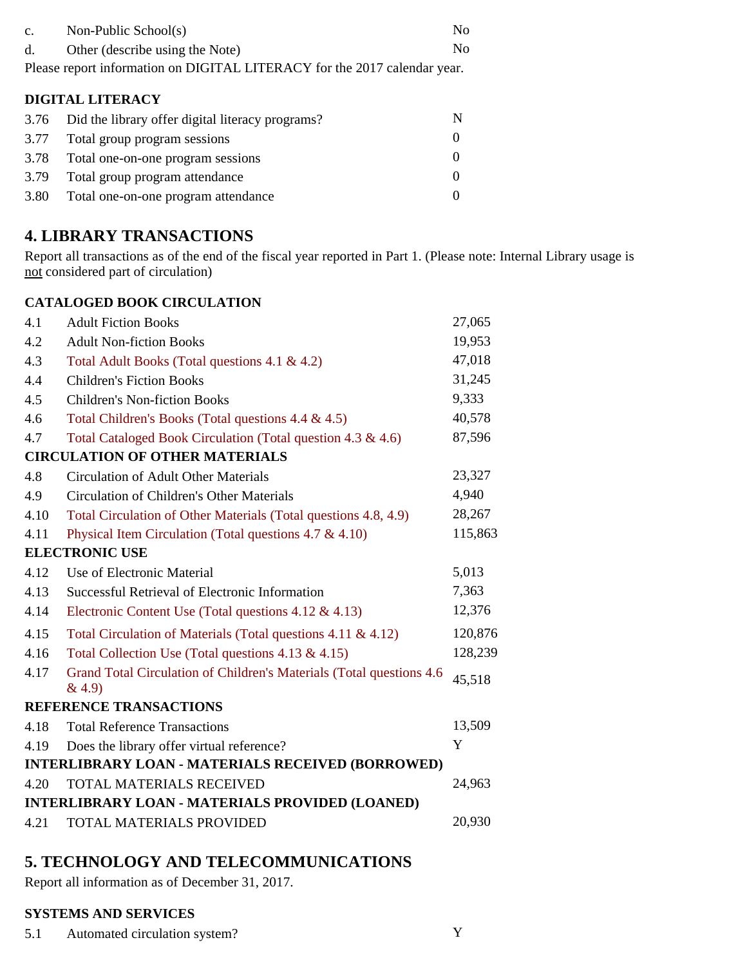| $\mathbf{c}$ .<br>d. | Non-Public School(s)<br>Other (describe using the Note)<br>Please report information on DIGITAL LITERACY for the 2017 calendar year. | No<br>N <sub>0</sub> |  |
|----------------------|--------------------------------------------------------------------------------------------------------------------------------------|----------------------|--|
| DIGITAL LITERACY     |                                                                                                                                      |                      |  |
| 3.76                 | Did the library offer digital literacy programs?                                                                                     | N                    |  |
| 3.77                 | Total group program sessions                                                                                                         | $\theta$             |  |

|      | 3.78 Total one-on-one program sessions |  |
|------|----------------------------------------|--|
|      | 3.79 Total group program attendance    |  |
| 3.80 | Total one-on-one program attendance    |  |

# **4. LIBRARY TRANSACTIONS**

Report all transactions as of the end of the fiscal year reported in Part 1. (Please note: Internal Library usage is  $\frac{1}{\pi}$  considered part of circulation)

### **CATALOGED BOOK CIRCULATION**

| 4.1  | <b>Adult Fiction Books</b>                                                     | 27,065  |
|------|--------------------------------------------------------------------------------|---------|
| 4.2  | <b>Adult Non-fiction Books</b>                                                 | 19,953  |
| 4.3  | Total Adult Books (Total questions 4.1 & 4.2)                                  | 47,018  |
| 4.4  | <b>Children's Fiction Books</b>                                                | 31,245  |
| 4.5  | <b>Children's Non-fiction Books</b>                                            | 9,333   |
| 4.6  | Total Children's Books (Total questions 4.4 & 4.5)                             | 40,578  |
| 4.7  | Total Cataloged Book Circulation (Total question 4.3 & 4.6)                    | 87,596  |
|      | <b>CIRCULATION OF OTHER MATERIALS</b>                                          |         |
| 4.8  | <b>Circulation of Adult Other Materials</b>                                    | 23,327  |
| 4.9  | <b>Circulation of Children's Other Materials</b>                               | 4,940   |
| 4.10 | Total Circulation of Other Materials (Total questions 4.8, 4.9)                | 28,267  |
| 4.11 | Physical Item Circulation (Total questions $4.7 \& 4.10$ )                     | 115,863 |
|      | <b>ELECTRONIC USE</b>                                                          |         |
| 4.12 | Use of Electronic Material                                                     | 5,013   |
| 4.13 | Successful Retrieval of Electronic Information                                 | 7,363   |
| 4.14 | Electronic Content Use (Total questions $4.12 \& 4.13$ )                       | 12,376  |
| 4.15 | Total Circulation of Materials (Total questions $4.11 \& 4.12$ )               | 120,876 |
| 4.16 | Total Collection Use (Total questions $4.13 \& 4.15$ )                         | 128,239 |
| 4.17 | Grand Total Circulation of Children's Materials (Total questions 4.6<br>& 4.9) | 45,518  |
|      | <b>REFERENCE TRANSACTIONS</b>                                                  |         |
| 4.18 | <b>Total Reference Transactions</b>                                            | 13,509  |
| 4.19 | Does the library offer virtual reference?                                      | Y       |
|      | INTERLIBRARY LOAN - MATERIALS RECEIVED (BORROWED)                              |         |
| 4.20 | TOTAL MATERIALS RECEIVED                                                       | 24,963  |
|      | INTERLIBRARY LOAN - MATERIALS PROVIDED (LOANED)                                |         |
| 4.21 | TOTAL MATERIALS PROVIDED                                                       | 20,930  |
|      |                                                                                |         |

# **5. TECHNOLOGY AND TELECOMMUNICATIONS**

Report all information as of December 31, 2017.

### **SYSTEMS AND SERVICES**

5.1 Automated circulation system? Y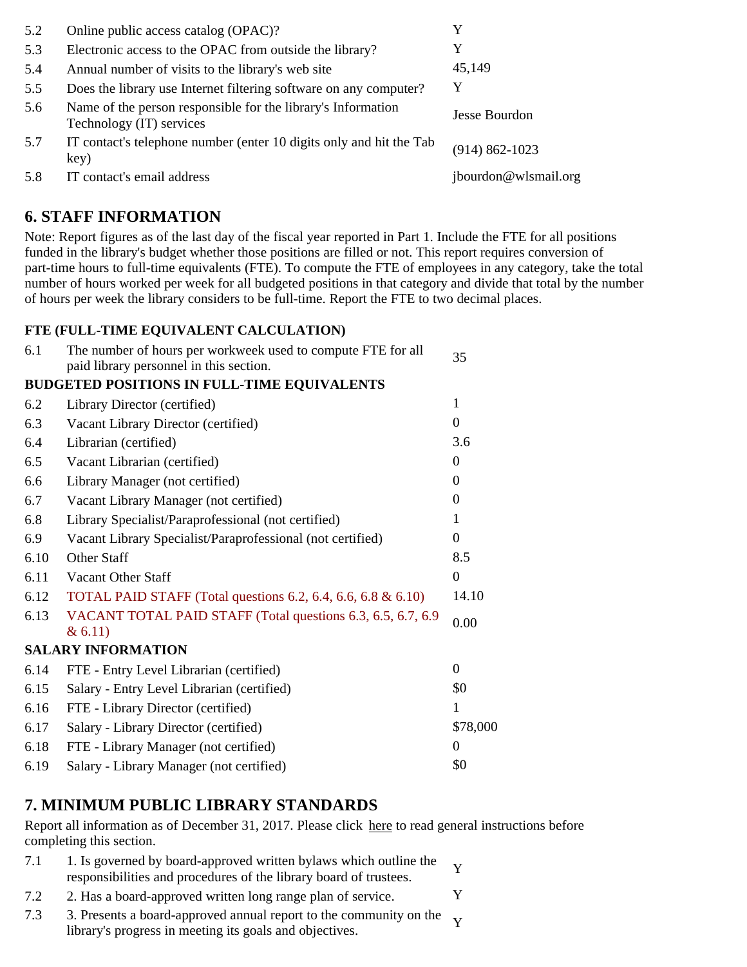| 5.2 | Online public access catalog (OPAC)?                                                     | Y                    |
|-----|------------------------------------------------------------------------------------------|----------------------|
| 5.3 | Electronic access to the OPAC from outside the library?                                  | Y                    |
| 5.4 | Annual number of visits to the library's web site                                        | 45,149               |
| 5.5 | Does the library use Internet filtering software on any computer?                        | Y                    |
| 5.6 | Name of the person responsible for the library's Information<br>Technology (IT) services | <b>Jesse Bourdon</b> |
| 5.7 | IT contact's telephone number (enter 10 digits only and hit the Tab<br>key)              | $(914) 862 - 1023$   |
| 5.8 | IT contact's email address                                                               | jbourdon@wlsmail.org |

# **6. STAFF INFORMATION**

Note: Report figures as of the last day of the fiscal year reported in Part 1. Include the FTE for all positions funded in the library's budget whether those positions are filled or not. This report requires conversion of part-time hours to full-time equivalents (FTE). To compute the FTE of employees in any category, take the total number of hours worked per week for all budgeted positions in that category and divide that total by the number of hours per week the library considers to be full-time. Report the FTE to two decimal places.

### **FTE (FULL-TIME EQUIVALENT CALCULATION)**

| 6.1  | The number of hours per workweek used to compute FTE for all<br>paid library personnel in this section. | 35               |
|------|---------------------------------------------------------------------------------------------------------|------------------|
|      | <b>BUDGETED POSITIONS IN FULL-TIME EQUIVALENTS</b>                                                      |                  |
| 6.2  | Library Director (certified)                                                                            | 1                |
| 6.3  | Vacant Library Director (certified)                                                                     | $\overline{0}$   |
| 6.4  | Librarian (certified)                                                                                   | 3.6              |
| 6.5  | Vacant Librarian (certified)                                                                            | $\theta$         |
| 6.6  | Library Manager (not certified)                                                                         | $\Omega$         |
| 6.7  | Vacant Library Manager (not certified)                                                                  | 0                |
| 6.8  | Library Specialist/Paraprofessional (not certified)                                                     |                  |
| 6.9  | Vacant Library Specialist/Paraprofessional (not certified)                                              | $\theta$         |
| 6.10 | Other Staff                                                                                             | 8.5              |
| 6.11 | Vacant Other Staff                                                                                      | $\boldsymbol{0}$ |
| 6.12 | TOTAL PAID STAFF (Total questions 6.2, 6.4, 6.6, 6.8 $& 6.10$ )                                         | 14.10            |
| 6.13 | VACANT TOTAL PAID STAFF (Total questions 6.3, 6.5, 6.7, 6.9<br>& 6.11)                                  | 0.00             |
|      | <b>SALARY INFORMATION</b>                                                                               |                  |
| 6.14 | FTE - Entry Level Librarian (certified)                                                                 | $\Omega$         |
| 6.15 | Salary - Entry Level Librarian (certified)                                                              | \$0              |
| 6.16 | FTE - Library Director (certified)                                                                      | 1                |
| 6.17 | Salary - Library Director (certified)                                                                   | \$78,000         |
| 6.18 | FTE - Library Manager (not certified)                                                                   | $\theta$         |
| 6.19 | Salary - Library Manager (not certified)                                                                | \$0              |

# **7. MINIMUM PUBLIC LIBRARY STANDARDS**

Report all information as of December 31, 2017. Please click here to read general instructions before completing this section.

- 7.1 1. Is governed by board-approved written bylaws which outline the responsibilities and procedures of the library board of trustees.
- 7.2 2. Has a board-approved written long range plan of service. Y
- 7.3 3. Presents a board-approved annual report to the community on the Y library's progress in meeting its goals and objectives.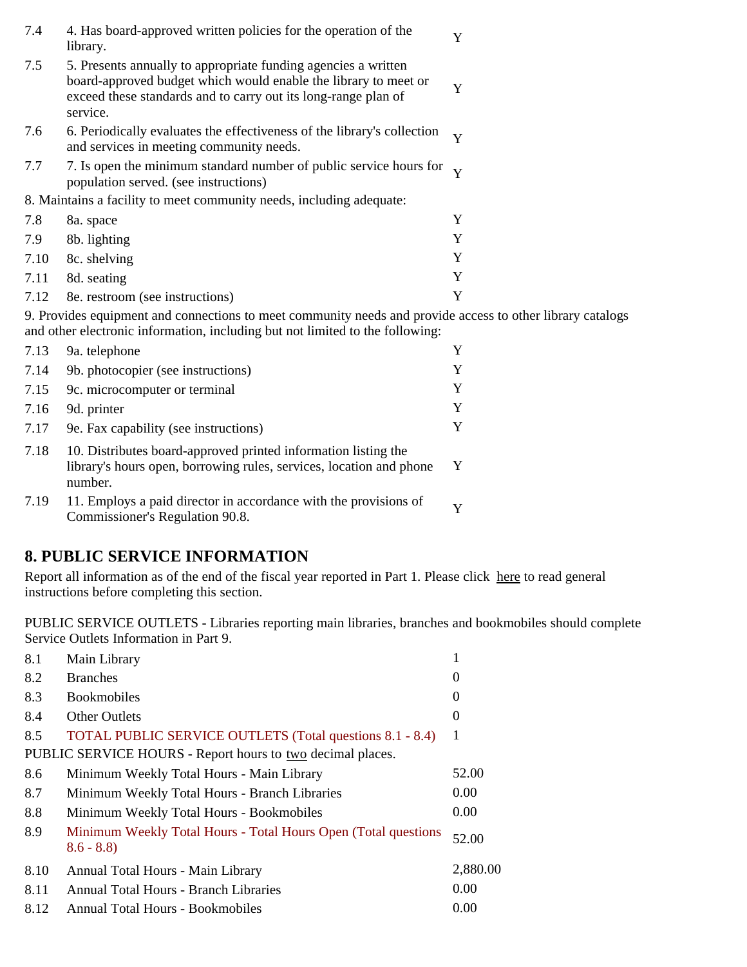| 7.4                                                                                                                                                                                         | 4. Has board-approved written policies for the operation of the<br>library.                                                                                                                                     | Y |
|---------------------------------------------------------------------------------------------------------------------------------------------------------------------------------------------|-----------------------------------------------------------------------------------------------------------------------------------------------------------------------------------------------------------------|---|
| 7.5                                                                                                                                                                                         | 5. Presents annually to appropriate funding agencies a written<br>board-approved budget which would enable the library to meet or<br>exceed these standards and to carry out its long-range plan of<br>service. | Y |
| 7.6                                                                                                                                                                                         | 6. Periodically evaluates the effectiveness of the library's collection<br>and services in meeting community needs.                                                                                             | Y |
| 7.7                                                                                                                                                                                         | 7. Is open the minimum standard number of public service hours for $\gamma$<br>population served. (see instructions)                                                                                            |   |
| 8. Maintains a facility to meet community needs, including adequate:                                                                                                                        |                                                                                                                                                                                                                 |   |
| 7.8                                                                                                                                                                                         | 8a. space                                                                                                                                                                                                       | Y |
| 7.9                                                                                                                                                                                         | 8b. lighting                                                                                                                                                                                                    | Y |
| 7.10                                                                                                                                                                                        | 8c. shelving                                                                                                                                                                                                    | Y |
| 7.11                                                                                                                                                                                        | 8d. seating                                                                                                                                                                                                     | Y |
| 7.12                                                                                                                                                                                        | 8e. restroom (see instructions)                                                                                                                                                                                 | Y |
| 9. Provides equipment and connections to meet community needs and provide access to other library catalogs<br>and other electronic information, including but not limited to the following: |                                                                                                                                                                                                                 |   |
| 7.13                                                                                                                                                                                        | 9a. telephone                                                                                                                                                                                                   | Y |
| 7.14                                                                                                                                                                                        | 9b. photocopier (see instructions)                                                                                                                                                                              | Y |
| 7.15                                                                                                                                                                                        | 9c. microcomputer or terminal                                                                                                                                                                                   | Y |
| 7.16                                                                                                                                                                                        | 9d. printer                                                                                                                                                                                                     | Y |
| 7.17                                                                                                                                                                                        | 9e. Fax capability (see instructions)                                                                                                                                                                           | Y |
| 7.18                                                                                                                                                                                        | 10. Distributes board-approved printed information listing the                                                                                                                                                  |   |

instructions before completing this section.

library's hours open, borrowing rules, services, location and phone Y

|      | Service Outlets Information in Part 9.                                        |                   |
|------|-------------------------------------------------------------------------------|-------------------|
| 8.1  | Main Library                                                                  | 1                 |
| 8.2  | <b>Branches</b>                                                               | 0                 |
| 8.3  | <b>Bookmobiles</b>                                                            | $\overline{0}$    |
| 8.4  | Other Outlets                                                                 | $\theta$          |
| 8.5  | TOTAL PUBLIC SERVICE OUTLETS (Total questions 8.1 - 8.4)                      | -1                |
|      | PUBLIC SERVICE HOURS - Report hours to two decimal places.                    |                   |
| 8.6  | Minimum Weekly Total Hours - Main Library                                     | 52.00             |
| 8.7  | Minimum Weekly Total Hours - Branch Libraries                                 | 0.00 <sub>1</sub> |
| 8.8  | Minimum Weekly Total Hours - Bookmobiles                                      | 0.00 <sub>1</sub> |
| 8.9  | Minimum Weekly Total Hours - Total Hours Open (Total questions<br>$8.6 - 8.8$ | 52.00             |
| 8.10 | Annual Total Hours - Main Library                                             | 2,880.00          |
| 8.11 | Annual Total Hours - Branch Libraries                                         | 0.00              |
| 8.12 | <b>Annual Total Hours - Bookmobiles</b>                                       | 0.00              |
|      |                                                                               |                   |

7.19 11. Employs a paid director in accordance with the provisions of Y<br>Commissioner's Regulation 90.8.

**8. PUBLIC SERVICE INFORMATION**

number.

PUBLIC SERVICE OUTLETS - Libraries reporting main libraries, branches and bookmobiles should complete Service Outlets Information in Part 0.

Report all information as of the end of the fiscal year reported in Part 1. Please click here to read general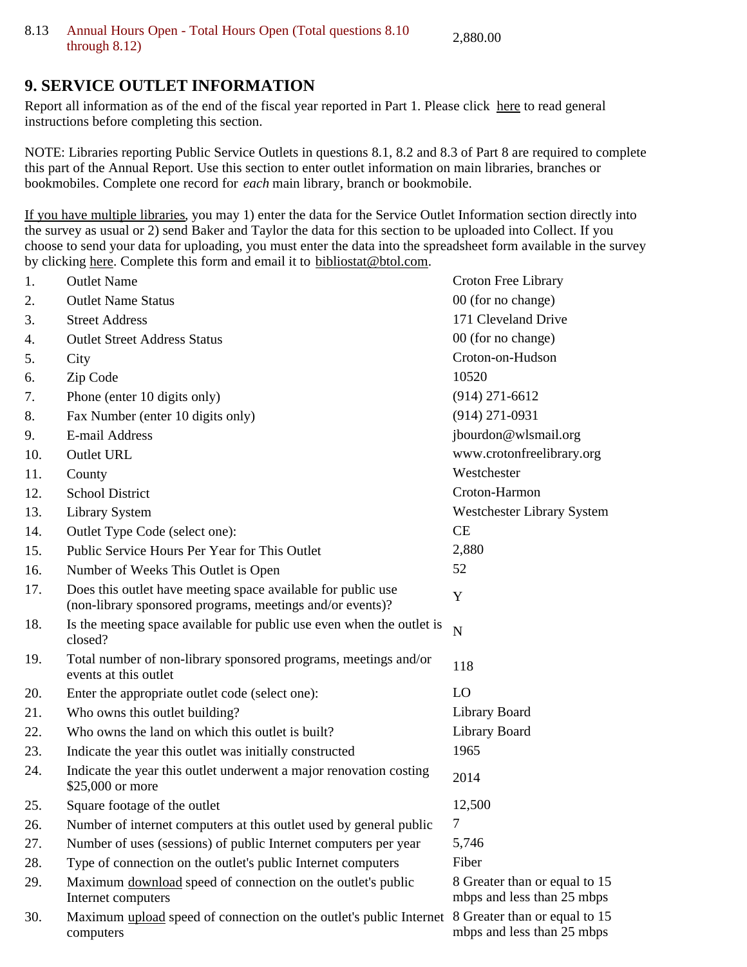## **9. SERVICE OUTLET INFORMATION**

Report all information as of the end of the fiscal year reported in Part 1. Please click here to read general instructions before completing this section.

NOTE: Libraries reporting Public Service Outlets in questions 8.1, 8.2 and 8.3 of Part 8 are required to complete this part of the Annual Report. Use this section to enter outlet information on main libraries, branches or bookmobiles. Complete one record for *each* main library, branch or bookmobile.

If you have multiple libraries, you may 1) enter the data for the Service Outlet Information section directly into the survey as usual or 2) send Baker and Taylor the data for this section to be uploaded into Collect. If you choose to send your data for uploading, you must enter the data into the spreadsheet form available in the survey by clicking here. Complete this form and email it to bibliostat@btol.com.

| 1.  | <b>Outlet Name</b>                                                                                                        | Croton Free Library                                         |
|-----|---------------------------------------------------------------------------------------------------------------------------|-------------------------------------------------------------|
| 2.  | <b>Outlet Name Status</b>                                                                                                 | 00 (for no change)                                          |
| 3.  | <b>Street Address</b>                                                                                                     | 171 Cleveland Drive                                         |
| 4.  | <b>Outlet Street Address Status</b>                                                                                       | 00 (for no change)                                          |
| 5.  | City                                                                                                                      | Croton-on-Hudson                                            |
| 6.  | Zip Code                                                                                                                  | 10520                                                       |
| 7.  | Phone (enter 10 digits only)                                                                                              | $(914)$ 271-6612                                            |
| 8.  | Fax Number (enter 10 digits only)                                                                                         | $(914)$ 271-0931                                            |
| 9.  | E-mail Address                                                                                                            | jbourdon@wlsmail.org                                        |
| 10. | <b>Outlet URL</b>                                                                                                         | www.crotonfreelibrary.org                                   |
| 11. | County                                                                                                                    | Westchester                                                 |
| 12. | <b>School District</b>                                                                                                    | Croton-Harmon                                               |
| 13. | <b>Library System</b>                                                                                                     | Westchester Library System                                  |
| 14. | Outlet Type Code (select one):                                                                                            | CE                                                          |
| 15. | Public Service Hours Per Year for This Outlet                                                                             | 2,880                                                       |
| 16. | Number of Weeks This Outlet is Open                                                                                       | 52                                                          |
| 17. | Does this outlet have meeting space available for public use<br>(non-library sponsored programs, meetings and/or events)? | Y                                                           |
| 18. | Is the meeting space available for public use even when the outlet is<br>closed?                                          | N                                                           |
| 19. | Total number of non-library sponsored programs, meetings and/or<br>events at this outlet                                  | 118                                                         |
| 20. | Enter the appropriate outlet code (select one):                                                                           | LO                                                          |
| 21. | Who owns this outlet building?                                                                                            | Library Board                                               |
| 22. | Who owns the land on which this outlet is built?                                                                          | Library Board                                               |
| 23. | Indicate the year this outlet was initially constructed                                                                   | 1965                                                        |
| 24. | Indicate the year this outlet underwent a major renovation costing<br>\$25,000 or more                                    | 2014                                                        |
| 25. | Square footage of the outlet                                                                                              | 12,500                                                      |
| 26. | Number of internet computers at this outlet used by general public                                                        |                                                             |
| 27. | Number of uses (sessions) of public Internet computers per year                                                           | 5,746                                                       |
| 28. | Type of connection on the outlet's public Internet computers                                                              | Fiber                                                       |
| 29. | Maximum download speed of connection on the outlet's public<br>Internet computers                                         | 8 Greater than or equal to 15<br>mbps and less than 25 mbps |
| 30. | Maximum upload speed of connection on the outlet's public Internet<br>computers                                           | 8 Greater than or equal to 15<br>mbps and less than 25 mbps |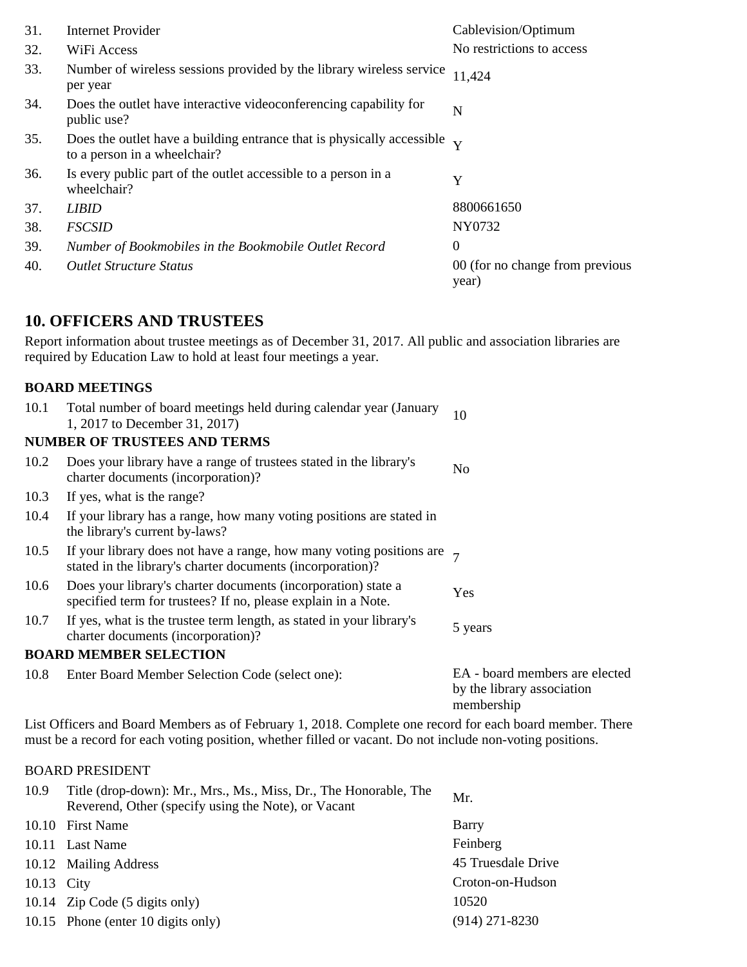| 31. | <b>Internet Provider</b>                                                                                            | Cablevision/Optimum                      |
|-----|---------------------------------------------------------------------------------------------------------------------|------------------------------------------|
| 32. | WiFi Access                                                                                                         | No restrictions to access                |
| 33. | Number of wireless sessions provided by the library wireless service<br>per year                                    | 11,424                                   |
| 34. | Does the outlet have interactive videoconferencing capability for<br>public use?                                    | N                                        |
| 35. | Does the outlet have a building entrance that is physically accessible $\mathbf{v}$<br>to a person in a wheelchair? |                                          |
| 36. | Is every public part of the outlet accessible to a person in a<br>wheelchair?                                       | Y                                        |
| 37. | <b>LIBID</b>                                                                                                        | 8800661650                               |
| 38. | <b>FSCSID</b>                                                                                                       | NY0732                                   |
| 39. | Number of Bookmobiles in the Bookmobile Outlet Record                                                               | $\theta$                                 |
| 40. | <b>Outlet Structure Status</b>                                                                                      | 00 (for no change from previous<br>year) |

## **10. OFFICERS AND TRUSTEES**

Report information about trustee meetings as of December 31, 2017. All public and association libraries are required by Education Law to hold at least four meetings a year.

### **BOARD MEETINGS**

| 10.1 | Total number of board meetings held during calendar year (January<br>1, 2017 to December 31, 2017)                                        | 10                                                                         |
|------|-------------------------------------------------------------------------------------------------------------------------------------------|----------------------------------------------------------------------------|
|      | <b>NUMBER OF TRUSTEES AND TERMS</b>                                                                                                       |                                                                            |
| 10.2 | Does your library have a range of trustees stated in the library's<br>charter documents (incorporation)?                                  | No                                                                         |
| 10.3 | If yes, what is the range?                                                                                                                |                                                                            |
| 10.4 | If your library has a range, how many voting positions are stated in<br>the library's current by-laws?                                    |                                                                            |
| 10.5 | If your library does not have a range, how many voting positions are $\tau$<br>stated in the library's charter documents (incorporation)? |                                                                            |
| 10.6 | Does your library's charter documents (incorporation) state a<br>specified term for trustees? If no, please explain in a Note.            | Yes                                                                        |
| 10.7 | If yes, what is the trustee term length, as stated in your library's<br>charter documents (incorporation)?                                | 5 years                                                                    |
|      | <b>BOARD MEMBER SELECTION</b>                                                                                                             |                                                                            |
| 10.8 | Enter Board Member Selection Code (select one):                                                                                           | EA - board members are elected<br>by the library association<br>membership |

List Officers and Board Members as of February 1, 2018. Complete one record for each board member. There must be a record for each voting position, whether filled or vacant. Do not include non-voting positions.

#### BOARD PRESIDENT

| 10.9       | Title (drop-down): Mr., Mrs., Ms., Miss, Dr., The Honorable, The<br>Reverend, Other (specify using the Note), or Vacant | Mr.                |
|------------|-------------------------------------------------------------------------------------------------------------------------|--------------------|
|            | 10.10 First Name                                                                                                        | Barry              |
|            | 10.11 Last Name                                                                                                         | Feinberg           |
|            | 10.12 Mailing Address                                                                                                   | 45 Truesdale Drive |
| 10.13 City |                                                                                                                         | Croton-on-Hudson   |
|            | 10.14 Zip Code (5 digits only)                                                                                          | 10520              |
|            | 10.15 Phone (enter 10 digits only)                                                                                      | $(914)$ 271-8230   |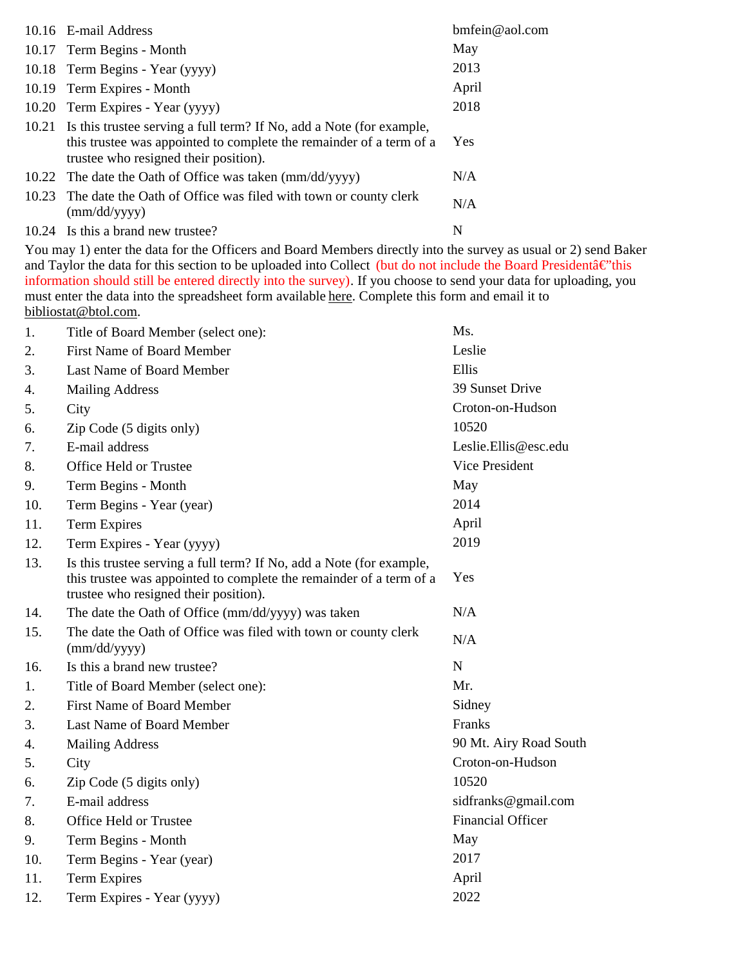|       | 10.16 E-mail Address                                                                                                                                                                 | $bm$ fein@aol.com |
|-------|--------------------------------------------------------------------------------------------------------------------------------------------------------------------------------------|-------------------|
|       | 10.17 Term Begins - Month                                                                                                                                                            | May               |
|       | 10.18 Term Begins - Year (yyyy)                                                                                                                                                      | 2013              |
|       | 10.19 Term Expires - Month                                                                                                                                                           | April             |
|       | 10.20 Term Expires - Year (yyyy)                                                                                                                                                     | 2018              |
| 10.21 | Is this trustee serving a full term? If No, add a Note (for example,<br>this trustee was appointed to complete the remainder of a term of a<br>trustee who resigned their position). | Yes               |
|       | 10.22 The date the Oath of Office was taken (mm/dd/yyyy)                                                                                                                             | N/A               |
| 10.23 | The date the Oath of Office was filed with town or county clerk<br>$\text{(mm/dd/yyyy)}$                                                                                             | N/A               |
|       | 10.24 Is this a brand new trustee?                                                                                                                                                   | N                 |

You may 1) enter the data for the Officers and Board Members directly into the survey as usual or 2) send Baker and Taylor the data for this section to be uploaded into Collect (but do not include the Board President $\hat{a} \in \hat{m}$ ) information should still be entered directly into the survey). If you choose to send your data for uploading, you must enter the data into the spreadsheet form available here. Complete this form and email it to bibliostat@btol.com.

| 1.  | Title of Board Member (select one):                                                                                                                                                  | Ms.                      |
|-----|--------------------------------------------------------------------------------------------------------------------------------------------------------------------------------------|--------------------------|
| 2.  | <b>First Name of Board Member</b>                                                                                                                                                    | Leslie                   |
| 3.  | Last Name of Board Member                                                                                                                                                            | Ellis                    |
| 4.  | <b>Mailing Address</b>                                                                                                                                                               | 39 Sunset Drive          |
| 5.  | City                                                                                                                                                                                 | Croton-on-Hudson         |
| 6.  | Zip Code (5 digits only)                                                                                                                                                             | 10520                    |
| 7.  | E-mail address                                                                                                                                                                       | Leslie.Ellis@esc.edu     |
| 8.  | Office Held or Trustee                                                                                                                                                               | Vice President           |
| 9.  | Term Begins - Month                                                                                                                                                                  | May                      |
| 10. | Term Begins - Year (year)                                                                                                                                                            | 2014                     |
| 11. | <b>Term Expires</b>                                                                                                                                                                  | April                    |
| 12. | Term Expires - Year (yyyy)                                                                                                                                                           | 2019                     |
| 13. | Is this trustee serving a full term? If No, add a Note (for example,<br>this trustee was appointed to complete the remainder of a term of a<br>trustee who resigned their position). | Yes                      |
| 14. | The date the Oath of Office (mm/dd/yyyy) was taken                                                                                                                                   | N/A                      |
| 15. | The date the Oath of Office was filed with town or county clerk<br>(mm/dd/yyyy)                                                                                                      | N/A                      |
| 16. | Is this a brand new trustee?                                                                                                                                                         | N                        |
| 1.  | Title of Board Member (select one):                                                                                                                                                  | Mr.                      |
| 2.  | <b>First Name of Board Member</b>                                                                                                                                                    | Sidney                   |
| 3.  | Last Name of Board Member                                                                                                                                                            | Franks                   |
| 4.  | <b>Mailing Address</b>                                                                                                                                                               | 90 Mt. Airy Road South   |
| 5.  | City                                                                                                                                                                                 | Croton-on-Hudson         |
| 6.  | Zip Code (5 digits only)                                                                                                                                                             | 10520                    |
| 7.  | E-mail address                                                                                                                                                                       | sidfranks@gmail.com      |
| 8.  | Office Held or Trustee                                                                                                                                                               | <b>Financial Officer</b> |
| 9.  | Term Begins - Month                                                                                                                                                                  | May                      |
| 10. | Term Begins - Year (year)                                                                                                                                                            | 2017                     |
| 11. | <b>Term Expires</b>                                                                                                                                                                  | April                    |
| 12. | Term Expires - Year (yyyy)                                                                                                                                                           | 2022                     |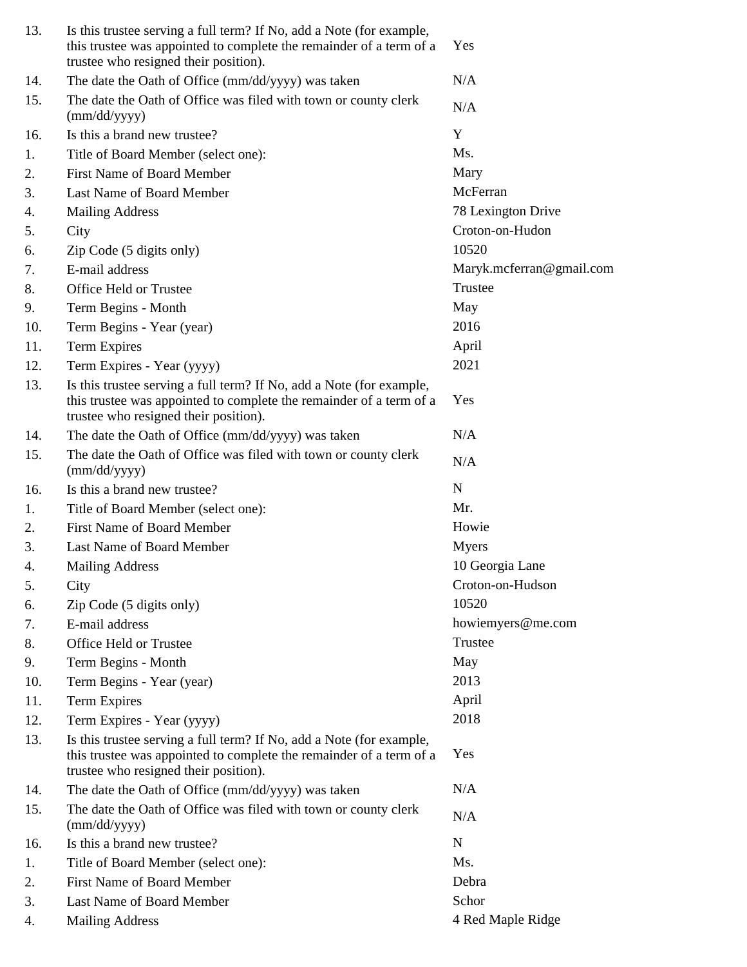| 13. | Is this trustee serving a full term? If No, add a Note (for example,<br>this trustee was appointed to complete the remainder of a term of a<br>trustee who resigned their position). | Yes                        |
|-----|--------------------------------------------------------------------------------------------------------------------------------------------------------------------------------------|----------------------------|
| 14. | The date the Oath of Office (mm/dd/yyyy) was taken                                                                                                                                   | N/A                        |
| 15. | The date the Oath of Office was filed with town or county clerk<br>(mm/dd/yyyy)                                                                                                      | N/A                        |
| 16. | Is this a brand new trustee?                                                                                                                                                         | Y                          |
| 1.  | Title of Board Member (select one):                                                                                                                                                  | Ms.                        |
| 2.  | <b>First Name of Board Member</b>                                                                                                                                                    | Mary                       |
| 3.  | Last Name of Board Member                                                                                                                                                            | McFerran                   |
| 4.  | <b>Mailing Address</b>                                                                                                                                                               | 78 Lexington Drive         |
| 5.  | City                                                                                                                                                                                 | Croton-on-Hudon            |
| 6.  | Zip Code (5 digits only)                                                                                                                                                             | 10520                      |
| 7.  | E-mail address                                                                                                                                                                       | Maryk.mcferran@gmail.com   |
| 8.  | Office Held or Trustee                                                                                                                                                               | Trustee                    |
| 9.  | Term Begins - Month                                                                                                                                                                  | May                        |
| 10. | Term Begins - Year (year)                                                                                                                                                            | 2016                       |
| 11. | <b>Term Expires</b>                                                                                                                                                                  | April                      |
| 12. | Term Expires - Year (yyyy)                                                                                                                                                           | 2021                       |
| 13. | Is this trustee serving a full term? If No, add a Note (for example,<br>this trustee was appointed to complete the remainder of a term of a<br>trustee who resigned their position). | Yes                        |
| 14. | The date the Oath of Office (mm/dd/yyyy) was taken                                                                                                                                   | N/A                        |
| 15. | The date the Oath of Office was filed with town or county clerk<br>(mm/dd/yyyy)                                                                                                      | N/A                        |
| 16. | Is this a brand new trustee?                                                                                                                                                         | N                          |
| 1.  | Title of Board Member (select one):                                                                                                                                                  | Mr.                        |
| 2.  | <b>First Name of Board Member</b>                                                                                                                                                    | Howie                      |
| 3.  | Last Name of Board Member                                                                                                                                                            | <b>Myers</b>               |
| 4.  | <b>Mailing Address</b>                                                                                                                                                               | 10 Georgia Lane            |
| 5.  | City                                                                                                                                                                                 | Croton-on-Hudson           |
| 6.  | Zip Code (5 digits only)                                                                                                                                                             | 10520                      |
| 7.  |                                                                                                                                                                                      |                            |
| 8.  | E-mail address                                                                                                                                                                       | howiemyers@me.com          |
|     | Office Held or Trustee                                                                                                                                                               | Trustee                    |
| 9.  | Term Begins - Month                                                                                                                                                                  | May                        |
| 10. | Term Begins - Year (year)                                                                                                                                                            | 2013                       |
| 11. | <b>Term Expires</b>                                                                                                                                                                  | April                      |
| 12. | Term Expires - Year (yyyy)                                                                                                                                                           | 2018                       |
| 13. | Is this trustee serving a full term? If No, add a Note (for example,<br>this trustee was appointed to complete the remainder of a term of a<br>trustee who resigned their position). | Yes                        |
| 14. | The date the Oath of Office (mm/dd/yyyy) was taken                                                                                                                                   | N/A                        |
| 15. | The date the Oath of Office was filed with town or county clerk<br>(mm/dd/yyyy)                                                                                                      | N/A                        |
| 16. | Is this a brand new trustee?                                                                                                                                                         | $\mathbf N$                |
| 1.  | Title of Board Member (select one):                                                                                                                                                  | Ms.                        |
| 2.  | <b>First Name of Board Member</b>                                                                                                                                                    | Debra                      |
| 3.  | Last Name of Board Member                                                                                                                                                            | Schor<br>4 Red Maple Ridge |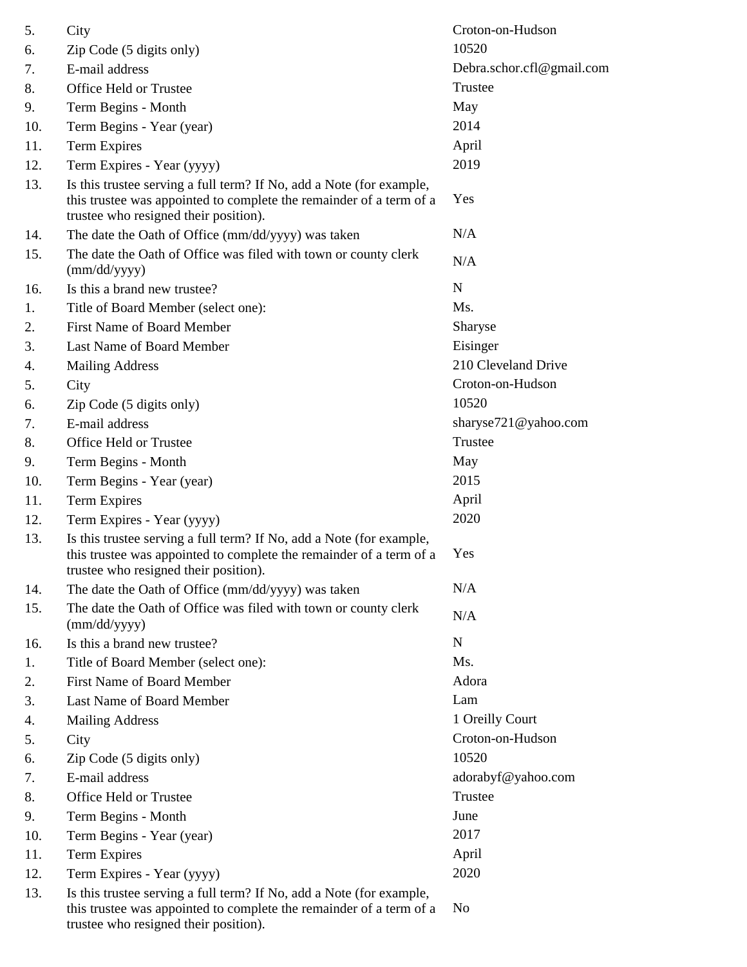| 5.  | City                                                                                                                                                                                 | Croton-on-Hudson          |
|-----|--------------------------------------------------------------------------------------------------------------------------------------------------------------------------------------|---------------------------|
| 6.  | Zip Code (5 digits only)                                                                                                                                                             | 10520                     |
| 7.  | E-mail address                                                                                                                                                                       | Debra.schor.cfl@gmail.com |
| 8.  | Office Held or Trustee                                                                                                                                                               | Trustee                   |
| 9.  | Term Begins - Month                                                                                                                                                                  | May                       |
| 10. | Term Begins - Year (year)                                                                                                                                                            | 2014                      |
| 11. | <b>Term Expires</b>                                                                                                                                                                  | April                     |
| 12. | Term Expires - Year (yyyy)                                                                                                                                                           | 2019                      |
| 13. | Is this trustee serving a full term? If No, add a Note (for example,<br>this trustee was appointed to complete the remainder of a term of a<br>trustee who resigned their position). | Yes                       |
| 14. | The date the Oath of Office (mm/dd/yyyy) was taken                                                                                                                                   | N/A                       |
| 15. | The date the Oath of Office was filed with town or county clerk<br>(mm/dd/yyyy)                                                                                                      | N/A                       |
| 16. | Is this a brand new trustee?                                                                                                                                                         | $\mathbf N$               |
| 1.  | Title of Board Member (select one):                                                                                                                                                  | Ms.                       |
| 2.  | <b>First Name of Board Member</b>                                                                                                                                                    | Sharyse                   |
| 3.  | Last Name of Board Member                                                                                                                                                            | Eisinger                  |
| 4.  | <b>Mailing Address</b>                                                                                                                                                               | 210 Cleveland Drive       |
| 5.  | City                                                                                                                                                                                 | Croton-on-Hudson          |
| 6.  | Zip Code (5 digits only)                                                                                                                                                             | 10520                     |
| 7.  | E-mail address                                                                                                                                                                       | sharyse721@yahoo.com      |
| 8.  | Office Held or Trustee                                                                                                                                                               | Trustee                   |
| 9.  | Term Begins - Month                                                                                                                                                                  | May                       |
| 10. | Term Begins - Year (year)                                                                                                                                                            | 2015                      |
| 11. | Term Expires                                                                                                                                                                         | April                     |
| 12. | Term Expires - Year (yyyy)                                                                                                                                                           | 2020                      |
| 13. | Is this trustee serving a full term? If No, add a Note (for example,<br>this trustee was appointed to complete the remainder of a term of a<br>trustee who resigned their position). | Yes                       |
| 14. | The date the Oath of Office (mm/dd/yyyy) was taken                                                                                                                                   | N/A                       |
| 15. | The date the Oath of Office was filed with town or county clerk<br>(mm/dd/yyyy)                                                                                                      | N/A                       |
| 16. | Is this a brand new trustee?                                                                                                                                                         | $\mathbf N$               |
| 1.  | Title of Board Member (select one):                                                                                                                                                  | Ms.                       |
| 2.  | First Name of Board Member                                                                                                                                                           | Adora                     |
| 3.  | Last Name of Board Member                                                                                                                                                            | Lam                       |
| 4.  | <b>Mailing Address</b>                                                                                                                                                               | 1 Oreilly Court           |
| 5.  | City                                                                                                                                                                                 | Croton-on-Hudson          |
| 6.  | Zip Code (5 digits only)                                                                                                                                                             | 10520                     |
| 7.  | E-mail address                                                                                                                                                                       | adorabyf@yahoo.com        |
| 8.  | Office Held or Trustee                                                                                                                                                               | Trustee                   |
| 9.  | Term Begins - Month                                                                                                                                                                  | June                      |
| 10. | Term Begins - Year (year)                                                                                                                                                            | 2017                      |
| 11. | <b>Term Expires</b>                                                                                                                                                                  | April                     |
| 12. | Term Expires - Year (yyyy)                                                                                                                                                           | 2020                      |
| 13. | Is this trustee serving a full term? If No, add a Note (for example,<br>this trustee was appointed to complete the remainder of a term of a<br>trustee who resigned their position). | N <sub>0</sub>            |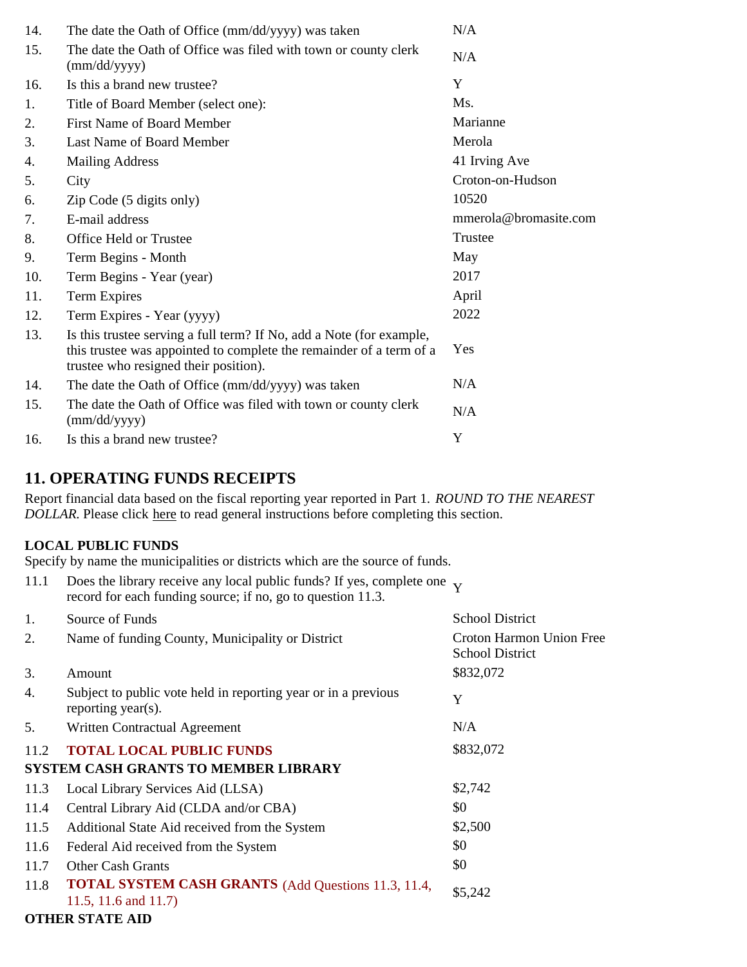| 14. | The date the Oath of Office (mm/dd/yyyy) was taken                                                                                                                                   | N/A                   |
|-----|--------------------------------------------------------------------------------------------------------------------------------------------------------------------------------------|-----------------------|
| 15. | The date the Oath of Office was filed with town or county clerk<br>(mm/dd/yyyy)                                                                                                      | N/A                   |
| 16. | Is this a brand new trustee?                                                                                                                                                         | Y                     |
| 1.  | Title of Board Member (select one):                                                                                                                                                  | Ms.                   |
| 2.  | <b>First Name of Board Member</b>                                                                                                                                                    | Marianne              |
| 3.  | Last Name of Board Member                                                                                                                                                            | Merola                |
| 4.  | <b>Mailing Address</b>                                                                                                                                                               | 41 Irving Ave         |
| 5.  | City                                                                                                                                                                                 | Croton-on-Hudson      |
| 6.  | Zip Code (5 digits only)                                                                                                                                                             | 10520                 |
| 7.  | E-mail address                                                                                                                                                                       | mmerola@bromasite.com |
| 8.  | Office Held or Trustee                                                                                                                                                               | Trustee               |
| 9.  | Term Begins - Month                                                                                                                                                                  | May                   |
| 10. | Term Begins - Year (year)                                                                                                                                                            | 2017                  |
| 11. | Term Expires                                                                                                                                                                         | April                 |
| 12. | Term Expires - Year (yyyy)                                                                                                                                                           | 2022                  |
| 13. | Is this trustee serving a full term? If No, add a Note (for example,<br>this trustee was appointed to complete the remainder of a term of a<br>trustee who resigned their position). | Yes                   |
| 14. | The date the Oath of Office (mm/dd/yyyy) was taken                                                                                                                                   | N/A                   |
| 15. | The date the Oath of Office was filed with town or county clerk<br>$\text{(mm/dd/yyyy)}$                                                                                             | N/A                   |
| 16. | Is this a brand new trustee?                                                                                                                                                         | Y                     |

# **11. OPERATING FUNDS RECEIPTS**

Report financial data based on the fiscal reporting year reported in Part 1. *ROUND TO THE NEAREST DOLLAR.* Please click here to read general instructions before completing this section.

### **LOCAL PUBLIC FUNDS**

Specify by name the municipalities or districts which are the source of funds.

| 11.1 | Does the library receive any local public funds? If yes, complete one $\mathbf{v}$<br>record for each funding source; if no, go to question 11.3. |                                                    |
|------|---------------------------------------------------------------------------------------------------------------------------------------------------|----------------------------------------------------|
| 1.   | Source of Funds                                                                                                                                   | <b>School District</b>                             |
| 2.   | Name of funding County, Municipality or District                                                                                                  | Croton Harmon Union Free<br><b>School District</b> |
| 3.   | Amount                                                                                                                                            | \$832,072                                          |
| 4.   | Subject to public vote held in reporting year or in a previous<br>reporting year(s).                                                              | Y                                                  |
| 5.   | Written Contractual Agreement                                                                                                                     | N/A                                                |
| 11.2 | <b>TOTAL LOCAL PUBLIC FUNDS</b>                                                                                                                   | \$832,072                                          |
|      | <b>SYSTEM CASH GRANTS TO MEMBER LIBRARY</b>                                                                                                       |                                                    |
| 11.3 | Local Library Services Aid (LLSA)                                                                                                                 | \$2,742                                            |
| 11.4 | Central Library Aid (CLDA and/or CBA)                                                                                                             | \$0                                                |
| 11.5 | Additional State Aid received from the System                                                                                                     | \$2,500                                            |
| 11.6 | Federal Aid received from the System                                                                                                              | \$0                                                |
| 11.7 | <b>Other Cash Grants</b>                                                                                                                          | \$0                                                |
| 11.8 | <b>TOTAL SYSTEM CASH GRANTS</b> (Add Questions 11.3, 11.4,<br>11.5, 11.6 and 11.7)                                                                | \$5,242                                            |
|      | <b>OTHER STATE AID</b>                                                                                                                            |                                                    |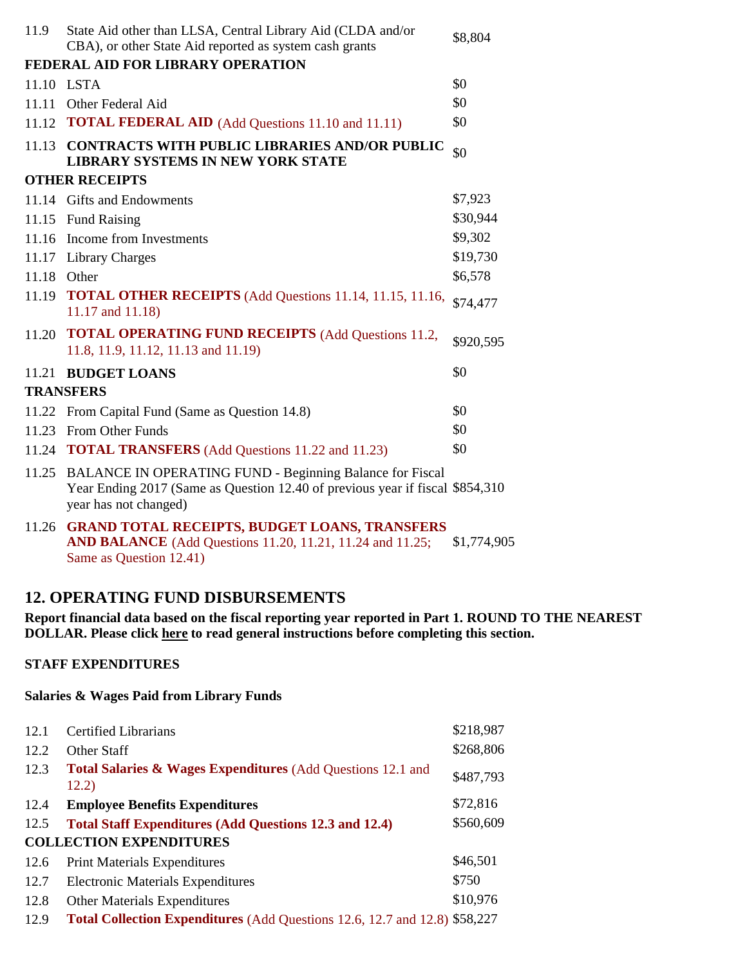| 11.9        | State Aid other than LLSA, Central Library Aid (CLDA and/or<br>CBA), or other State Aid reported as system cash grants                                                    | \$8,804     |
|-------------|---------------------------------------------------------------------------------------------------------------------------------------------------------------------------|-------------|
|             | FEDERAL AID FOR LIBRARY OPERATION                                                                                                                                         |             |
|             | 11.10 LSTA                                                                                                                                                                | \$0         |
|             | 11.11 Other Federal Aid                                                                                                                                                   | \$0         |
|             | 11.12 <b>TOTAL FEDERAL AID</b> (Add Questions 11.10 and 11.11)                                                                                                            | \$0         |
| 11.13       | <b>CONTRACTS WITH PUBLIC LIBRARIES AND/OR PUBLIC</b><br><b>LIBRARY SYSTEMS IN NEW YORK STATE</b>                                                                          | \$0         |
|             | <b>OTHER RECEIPTS</b>                                                                                                                                                     |             |
|             | 11.14 Gifts and Endowments                                                                                                                                                | \$7,923     |
|             | 11.15 Fund Raising                                                                                                                                                        | \$30,944    |
|             | 11.16 Income from Investments                                                                                                                                             | \$9,302     |
|             | 11.17 Library Charges                                                                                                                                                     | \$19,730    |
| 11.18 Other |                                                                                                                                                                           | \$6,578     |
|             | 11.19 <b>TOTAL OTHER RECEIPTS</b> (Add Questions 11.14, 11.15, 11.16,<br>11.17 and 11.18)                                                                                 | \$74,477    |
|             | 11.20 TOTAL OPERATING FUND RECEIPTS (Add Questions 11.2,<br>11.8, 11.9, 11.12, 11.13 and 11.19)                                                                           | \$920,595   |
|             | 11.21 BUDGET LOANS                                                                                                                                                        | \$0         |
|             | <b>TRANSFERS</b>                                                                                                                                                          |             |
|             | 11.22 From Capital Fund (Same as Question 14.8)                                                                                                                           | \$0         |
| 11.23       | <b>From Other Funds</b>                                                                                                                                                   | \$0         |
|             | 11.24 <b>TOTAL TRANSFERS</b> (Add Questions 11.22 and 11.23)                                                                                                              | \$0         |
|             | 11.25 BALANCE IN OPERATING FUND - Beginning Balance for Fiscal<br>Year Ending 2017 (Same as Question 12.40 of previous year if fiscal \$854,310)<br>year has not changed) |             |
|             | 11.26 GRAND TOTAL RECEIPTS, BUDGET LOANS, TRANSFERS<br><b>AND BALANCE</b> (Add Questions 11.20, 11.21, 11.24 and 11.25;                                                   | \$1,774,905 |

### **12. OPERATING FUND DISBURSEMENTS**

**Report financial data based on the fiscal reporting year reported in Part 1. ROUND TO THE NEAREST DOLLAR. Please click here to read general instructions before completing this section.**

### **STAFF EXPENDITURES**

#### **Salaries & Wages Paid from Library Funds**

Same as Question 12.41)

| 12.1 | <b>Certified Librarians</b>                                                       | \$218,987 |
|------|-----------------------------------------------------------------------------------|-----------|
| 12.2 | Other Staff                                                                       | \$268,806 |
| 12.3 | Total Salaries & Wages Expenditures (Add Questions 12.1 and<br>12.2)              | \$487,793 |
| 12.4 | <b>Employee Benefits Expenditures</b>                                             | \$72,816  |
| 12.5 | <b>Total Staff Expenditures (Add Questions 12.3 and 12.4)</b>                     | \$560,609 |
|      | <b>COLLECTION EXPENDITURES</b>                                                    |           |
| 12.6 | <b>Print Materials Expenditures</b>                                               | \$46,501  |
| 12.7 | <b>Electronic Materials Expenditures</b>                                          | \$750     |
| 12.8 | <b>Other Materials Expenditures</b>                                               | \$10,976  |
| 12.9 | <b>Total Collection Expenditures</b> (Add Questions 12.6, 12.7 and 12.8) \$58,227 |           |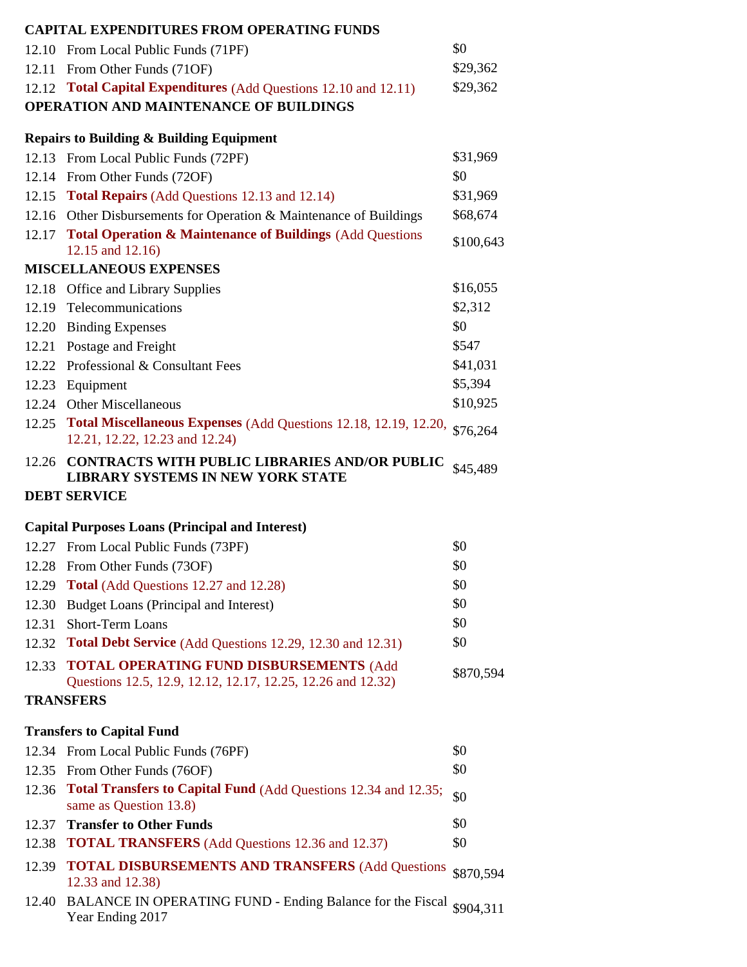|       | <b>CAPITAL EXPENDITURES FROM OPERATING FUNDS</b>                                                                  |           |
|-------|-------------------------------------------------------------------------------------------------------------------|-----------|
|       | 12.10 From Local Public Funds (71PF)                                                                              | \$0       |
|       | 12.11 From Other Funds (71OF)                                                                                     | \$29,362  |
|       | 12.12 Total Capital Expenditures (Add Questions 12.10 and 12.11)                                                  | \$29,362  |
|       | OPERATION AND MAINTENANCE OF BUILDINGS                                                                            |           |
|       | <b>Repairs to Building &amp; Building Equipment</b>                                                               |           |
|       | 12.13 From Local Public Funds (72PF)                                                                              | \$31,969  |
|       | 12.14 From Other Funds (72OF)                                                                                     | \$0       |
|       | 12.15 Total Repairs (Add Questions 12.13 and 12.14)                                                               | \$31,969  |
|       | 12.16 Other Disbursements for Operation & Maintenance of Buildings                                                | \$68,674  |
| 12.17 | <b>Total Operation &amp; Maintenance of Buildings (Add Questions)</b>                                             | \$100,643 |
|       | 12.15 and 12.16)                                                                                                  |           |
|       | <b>MISCELLANEOUS EXPENSES</b>                                                                                     |           |
|       | 12.18 Office and Library Supplies                                                                                 | \$16,055  |
|       | 12.19 Telecommunications                                                                                          | \$2,312   |
| 12.20 | <b>Binding Expenses</b>                                                                                           | \$0       |
|       | 12.21 Postage and Freight                                                                                         | \$547     |
|       | 12.22 Professional & Consultant Fees                                                                              | \$41,031  |
|       | 12.23 Equipment                                                                                                   | \$5,394   |
|       | 12.24 Other Miscellaneous                                                                                         | \$10,925  |
|       | 12.25 Total Miscellaneous Expenses (Add Questions 12.18, 12.19, 12.20, \$76,264<br>12.21, 12.22, 12.23 and 12.24) |           |
|       | 12.26 CONTRACTS WITH PUBLIC LIBRARIES AND/OR PUBLIC<br>LIBRARY SYSTEMS IN NEW YORK STATE                          | \$45,489  |
|       | <b>DEBT SERVICE</b>                                                                                               |           |
|       | <b>Capital Purposes Loans (Principal and Interest)</b>                                                            |           |
|       | 12.27 From Local Public Funds (73PF)                                                                              | \$0       |
|       | 12.28 From Other Funds (73OF)                                                                                     | \$0       |
| 12.29 | <b>Total</b> (Add Questions 12.27 and 12.28)                                                                      | \$0       |
| 12.30 | Budget Loans (Principal and Interest)                                                                             | \$0       |
| 12.31 | Short-Term Loans                                                                                                  | \$0       |
| 12.32 | Total Debt Service (Add Questions 12.29, 12.30 and 12.31)                                                         | \$0       |
| 12.33 | <b>TOTAL OPERATING FUND DISBURSEMENTS (Add</b><br>Questions 12.5, 12.9, 12.12, 12.17, 12.25, 12.26 and 12.32)     | \$870,594 |
|       | <b>TRANSFERS</b>                                                                                                  |           |
|       | <b>Transfers to Capital Fund</b>                                                                                  |           |
|       | 12.34 From Local Public Funds (76PF)                                                                              | \$0       |
| 12.35 | From Other Funds (76OF)                                                                                           | \$0       |
|       | 12.36 Total Transfers to Capital Fund (Add Questions 12.34 and 12.35;<br>same as Question 13.8)                   | \$0       |
| 12.37 | <b>Transfer to Other Funds</b>                                                                                    | \$0       |
| 12.38 | <b>TOTAL TRANSFERS</b> (Add Questions 12.36 and 12.37)                                                            | \$0       |
| 12.39 | <b>TOTAL DISBURSEMENTS AND TRANSFERS (Add Questions)</b><br>12.33 and 12.38)                                      | \$870,594 |
| 12.40 | BALANCE IN OPERATING FUND - Ending Balance for the Fiscal \$904,311                                               |           |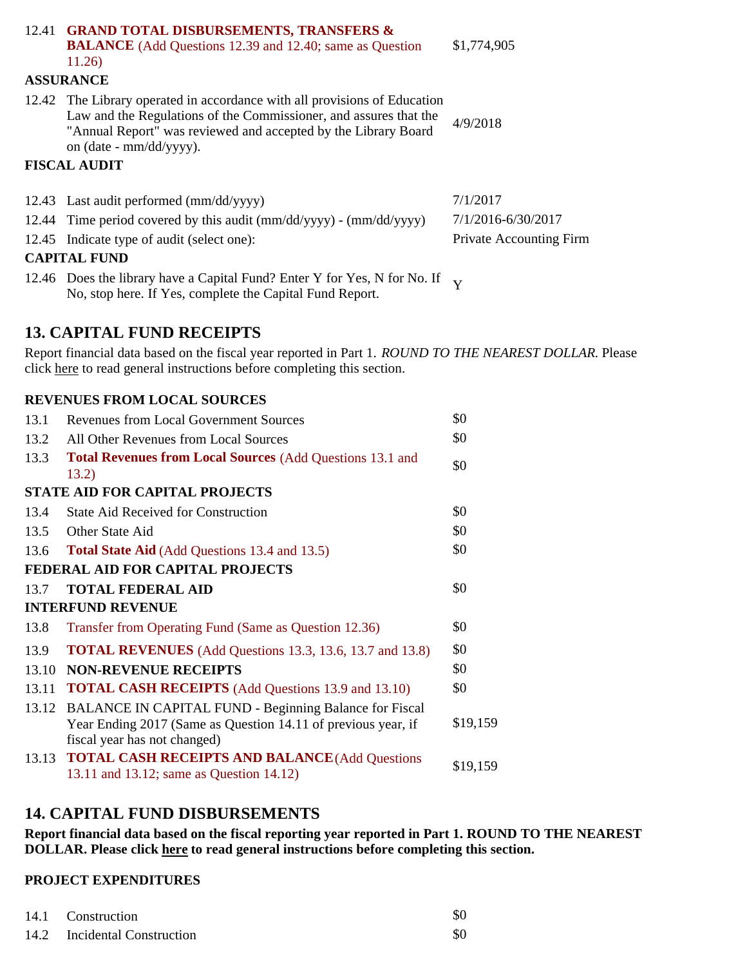|                     | 12.41 GRAND TOTAL DISBURSEMENTS, TRANSFERS &<br><b>BALANCE</b> (Add Questions 12.39 and 12.40; same as Question<br>11.26)                                                                                                                   | \$1,774,905                    |
|---------------------|---------------------------------------------------------------------------------------------------------------------------------------------------------------------------------------------------------------------------------------------|--------------------------------|
|                     | <b>ASSURANCE</b>                                                                                                                                                                                                                            |                                |
|                     | 12.42 The Library operated in accordance with all provisions of Education<br>Law and the Regulations of the Commissioner, and assures that the<br>"Annual Report" was reviewed and accepted by the Library Board<br>on (date - mm/dd/yyyy). | 4/9/2018                       |
|                     | <b>FISCAL AUDIT</b>                                                                                                                                                                                                                         |                                |
|                     | 12.43 Last audit performed (mm/dd/yyyy)                                                                                                                                                                                                     | 7/1/2017                       |
|                     | 12.44 Time period covered by this audit $\frac{\text{mm}}{\text{dd}}\text{yyyy} - \frac{\text{mm}}{\text{dd}}\text{yyyy}$                                                                                                                   | 7/1/2016-6/30/2017             |
|                     | 12.45 Indicate type of audit (select one):                                                                                                                                                                                                  | <b>Private Accounting Firm</b> |
| <b>CAPITAL FUND</b> |                                                                                                                                                                                                                                             |                                |
|                     | 12.46 Does the library have a Capital Fund? Enter Y for Yes, N for No. If $_{\rm V}$<br>No, stop here. If Yes, complete the Capital Fund Report.                                                                                            |                                |

## **13. CAPITAL FUND RECEIPTS**

Report financial data based on the fiscal year reported in Part 1. *ROUND TO THE NEAREST DOLLAR.* Please click here to read general instructions before completing this section.

### **REVENUES FROM LOCAL SOURCES**

| 13.1  | <b>Revenues from Local Government Sources</b>                                                                                                                 | \$0      |
|-------|---------------------------------------------------------------------------------------------------------------------------------------------------------------|----------|
| 13.2  | All Other Revenues from Local Sources                                                                                                                         | \$0      |
| 13.3  | <b>Total Revenues from Local Sources (Add Questions 13.1 and</b><br>13.2)                                                                                     | \$0      |
|       | <b>STATE AID FOR CAPITAL PROJECTS</b>                                                                                                                         |          |
| 13.4  | <b>State Aid Received for Construction</b>                                                                                                                    | \$0      |
| 13.5  | Other State Aid                                                                                                                                               | \$0      |
| 13.6  | <b>Total State Aid</b> (Add Questions 13.4 and 13.5)                                                                                                          | \$0      |
|       | FEDERAL AID FOR CAPITAL PROJECTS                                                                                                                              |          |
| 13.7  | <b>TOTAL FEDERAL AID</b>                                                                                                                                      | \$0      |
|       | <b>INTERFUND REVENUE</b>                                                                                                                                      |          |
| 13.8  | Transfer from Operating Fund (Same as Question 12.36)                                                                                                         | \$0      |
| 13.9  | <b>TOTAL REVENUES</b> (Add Questions 13.3, 13.6, 13.7 and 13.8)                                                                                               | \$0      |
| 13.10 | <b>NON-REVENUE RECEIPTS</b>                                                                                                                                   | \$0      |
| 13.11 | <b>TOTAL CASH RECEIPTS</b> (Add Questions 13.9 and 13.10)                                                                                                     | \$0      |
|       | 13.12 BALANCE IN CAPITAL FUND - Beginning Balance for Fiscal<br>Year Ending 2017 (Same as Question 14.11 of previous year, if<br>fiscal year has not changed) | \$19,159 |
| 13.13 | <b>TOTAL CASH RECEIPTS AND BALANCE (Add Questions</b><br>13.11 and 13.12; same as Question 14.12)                                                             | \$19,159 |

### **14. CAPITAL FUND DISBURSEMENTS**

**Report financial data based on the fiscal reporting year reported in Part 1. ROUND TO THE NEAREST DOLLAR. Please click here to read general instructions before completing this section.**

### **PROJECT EXPENDITURES**

| 14.1 Construction            | \$0 |
|------------------------------|-----|
| 14.2 Incidental Construction | \$0 |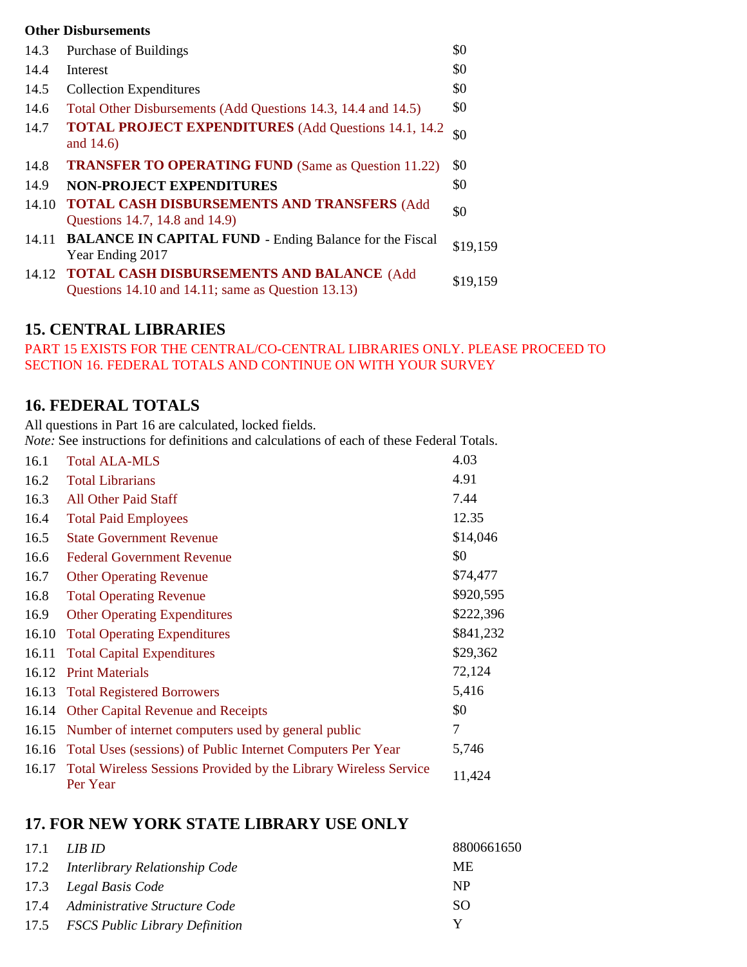#### **Other Disbursements**

| 14.3  | Purchase of Buildings                                                                                  | \$0      |
|-------|--------------------------------------------------------------------------------------------------------|----------|
| 14.4  | Interest                                                                                               | \$0      |
| 14.5  | <b>Collection Expenditures</b>                                                                         | \$0      |
| 14.6  | Total Other Disbursements (Add Questions 14.3, 14.4 and 14.5)                                          | \$0      |
| 14.7  | <b>TOTAL PROJECT EXPENDITURES</b> (Add Questions 14.1, 14.2)<br>and 14.6)                              | \$0      |
| 14.8  | <b>TRANSFER TO OPERATING FUND (Same as Question 11.22)</b>                                             | \$0      |
| 14.9  | <b>NON-PROJECT EXPENDITURES</b>                                                                        | \$0      |
| 14.10 | TOTAL CASH DISBURSEMENTS AND TRANSFERS (Add<br>Questions 14.7, 14.8 and 14.9)                          | \$0      |
| 14.11 | <b>BALANCE IN CAPITAL FUND - Ending Balance for the Fiscal</b><br>Year Ending 2017                     | \$19,159 |
| 14.12 | <b>TOTAL CASH DISBURSEMENTS AND BALANCE (Add</b><br>Questions 14.10 and 14.11; same as Question 13.13) | \$19,159 |

## **15. CENTRAL LIBRARIES**

PART 15 EXISTS FOR THE CENTRAL/CO-CENTRAL LIBRARIES ONLY. PLEASE PROCEED TO SECTION 16. FEDERAL TOTALS AND CONTINUE ON WITH YOUR SURVEY

### **16. FEDERAL TOTALS**

All questions in Part 16 are calculated, locked fields.

*Note:* See instructions for definitions and calculations of each of these Federal Totals.

| 16.1  | <b>Total ALA-MLS</b>                                                                | 4.03      |
|-------|-------------------------------------------------------------------------------------|-----------|
| 16.2  | <b>Total Librarians</b>                                                             | 4.91      |
| 16.3  | All Other Paid Staff                                                                | 7.44      |
| 16.4  | <b>Total Paid Employees</b>                                                         | 12.35     |
| 16.5  | <b>State Government Revenue</b>                                                     | \$14,046  |
| 16.6  | <b>Federal Government Revenue</b>                                                   | \$0       |
| 16.7  | <b>Other Operating Revenue</b>                                                      | \$74,477  |
| 16.8  | <b>Total Operating Revenue</b>                                                      | \$920,595 |
| 16.9  | <b>Other Operating Expenditures</b>                                                 | \$222,396 |
| 16.10 | <b>Total Operating Expenditures</b>                                                 | \$841,232 |
| 16.11 | <b>Total Capital Expenditures</b>                                                   | \$29,362  |
| 16.12 | <b>Print Materials</b>                                                              | 72,124    |
| 16.13 | <b>Total Registered Borrowers</b>                                                   | 5,416     |
|       | 16.14 Other Capital Revenue and Receipts                                            | \$0       |
|       | 16.15 Number of internet computers used by general public                           | 7         |
|       | 16.16 Total Uses (sessions) of Public Internet Computers Per Year                   | 5,746     |
| 16.17 | <b>Total Wireless Sessions Provided by the Library Wireless Service</b><br>Per Year | 11,424    |

### **17. FOR NEW YORK STATE LIBRARY USE ONLY**

| 17.1 | LIB ID                              | 8800661650 |
|------|-------------------------------------|------------|
|      | 17.2 Interlibrary Relationship Code | MЕ         |
|      | 17.3 Legal Basis Code               | NP         |
|      | 17.4 Administrative Structure Code  | SO         |
|      | 17.5 FSCS Public Library Definition |            |